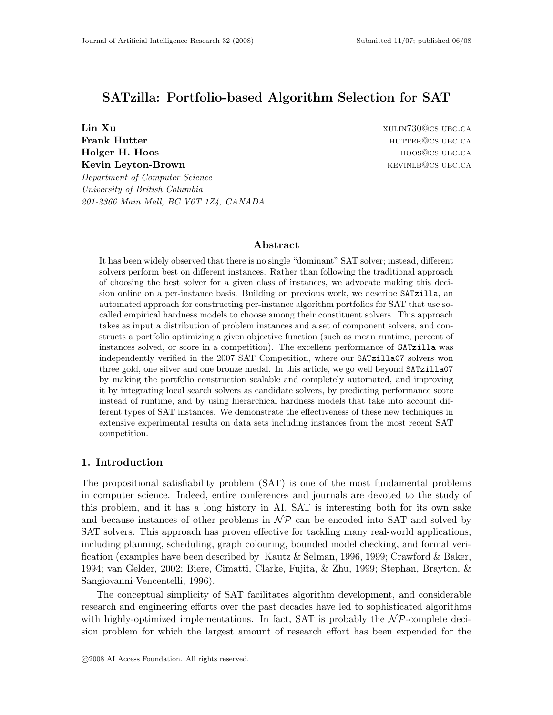# SATzilla: Portfolio-based Algorithm Selection for SAT

Lin Xu  $\text{XULIN}730@c\text{s.UEC}$ .ca **Frank Hutter** hutter hutter hutter hutter hutter and the set of the set of the set of the set of the set of the set of the set of the set of the set of the set of the set of the set of the set of the set of the set of the Holger H. Hoos hoose hoose hoose hoose hoose hoose hoose hoose hoose hoose hoose hoose hoose hoose hoose hoose hoose hoose hoose hoose hoose hoose hoose hoose hoose hoose hoose hoose hoose hoose hoose hoose hoose hoose hoo Kevin Leyton-Brown and the settlement of the settlement of the settlement of the settlement of the settlement of the settlement of the settlement of the settlement of the settlement of the settlement of the settlement of t

Department of Computer Science University of British Columbia 201-2366 Main Mall, BC V6T 1Z4, CANADA

# Abstract

It has been widely observed that there is no single "dominant" SAT solver; instead, different solvers perform best on different instances. Rather than following the traditional approach of choosing the best solver for a given class of instances, we advocate making this decision online on a per-instance basis. Building on previous work, we describe SATzilla, an automated approach for constructing per-instance algorithm portfolios for SAT that use socalled empirical hardness models to choose among their constituent solvers. This approach takes as input a distribution of problem instances and a set of component solvers, and constructs a portfolio optimizing a given objective function (such as mean runtime, percent of instances solved, or score in a competition). The excellent performance of SATzilla was independently verified in the 2007 SAT Competition, where our SATzilla07 solvers won three gold, one silver and one bronze medal. In this article, we go well beyond SATzilla07 by making the portfolio construction scalable and completely automated, and improving it by integrating local search solvers as candidate solvers, by predicting performance score instead of runtime, and by using hierarchical hardness models that take into account different types of SAT instances. We demonstrate the effectiveness of these new techniques in extensive experimental results on data sets including instances from the most recent SAT competition.

# 1. Introduction

The propositional satisfiability problem (SAT) is one of the most fundamental problems in computer science. Indeed, entire conferences and journals are devoted to the study of this problem, and it has a long history in AI. SAT is interesting both for its own sake and because instances of other problems in  $\mathcal{NP}$  can be encoded into SAT and solved by SAT solvers. This approach has proven effective for tackling many real-world applications, including planning, scheduling, graph colouring, bounded model checking, and formal verification (examples have been described by Kautz & Selman, 1996, 1999; Crawford & Baker, 1994; van Gelder, 2002; Biere, Cimatti, Clarke, Fujita, & Zhu, 1999; Stephan, Brayton, & Sangiovanni-Vencentelli, 1996).

The conceptual simplicity of SAT facilitates algorithm development, and considerable research and engineering efforts over the past decades have led to sophisticated algorithms with highly-optimized implementations. In fact, SAT is probably the  $\mathcal{NP}$ -complete decision problem for which the largest amount of research effort has been expended for the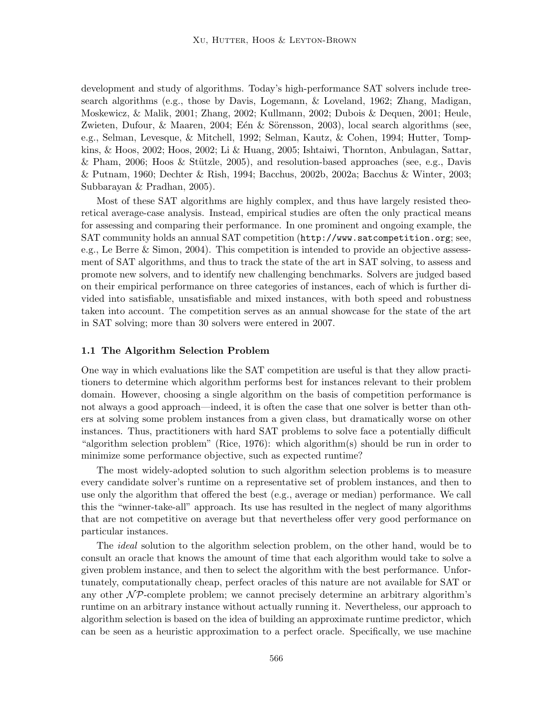development and study of algorithms. Today's high-performance SAT solvers include treesearch algorithms (e.g., those by Davis, Logemann, & Loveland, 1962; Zhang, Madigan, Moskewicz, & Malik, 2001; Zhang, 2002; Kullmann, 2002; Dubois & Dequen, 2001; Heule, Zwieten, Dufour, & Maaren, 2004; Eén & Sörensson, 2003), local search algorithms (see, e.g., Selman, Levesque, & Mitchell, 1992; Selman, Kautz, & Cohen, 1994; Hutter, Tompkins, & Hoos, 2002; Hoos, 2002; Li & Huang, 2005; Ishtaiwi, Thornton, Anbulagan, Sattar, & Pham, 2006; Hoos & Stützle, 2005), and resolution-based approaches (see, e.g., Davis & Putnam, 1960; Dechter & Rish, 1994; Bacchus, 2002b, 2002a; Bacchus & Winter, 2003; Subbarayan & Pradhan, 2005).

Most of these SAT algorithms are highly complex, and thus have largely resisted theoretical average-case analysis. Instead, empirical studies are often the only practical means for assessing and comparing their performance. In one prominent and ongoing example, the SAT community holds an annual SAT competition (http://www.satcompetition.org; see, e.g., Le Berre & Simon, 2004). This competition is intended to provide an objective assessment of SAT algorithms, and thus to track the state of the art in SAT solving, to assess and promote new solvers, and to identify new challenging benchmarks. Solvers are judged based on their empirical performance on three categories of instances, each of which is further divided into satisfiable, unsatisfiable and mixed instances, with both speed and robustness taken into account. The competition serves as an annual showcase for the state of the art in SAT solving; more than 30 solvers were entered in 2007.

#### 1.1 The Algorithm Selection Problem

One way in which evaluations like the SAT competition are useful is that they allow practitioners to determine which algorithm performs best for instances relevant to their problem domain. However, choosing a single algorithm on the basis of competition performance is not always a good approach—indeed, it is often the case that one solver is better than others at solving some problem instances from a given class, but dramatically worse on other instances. Thus, practitioners with hard SAT problems to solve face a potentially difficult "algorithm selection problem" (Rice, 1976): which algorithm(s) should be run in order to minimize some performance objective, such as expected runtime?

The most widely-adopted solution to such algorithm selection problems is to measure every candidate solver's runtime on a representative set of problem instances, and then to use only the algorithm that offered the best (e.g., average or median) performance. We call this the "winner-take-all" approach. Its use has resulted in the neglect of many algorithms that are not competitive on average but that nevertheless offer very good performance on particular instances.

The ideal solution to the algorithm selection problem, on the other hand, would be to consult an oracle that knows the amount of time that each algorithm would take to solve a given problem instance, and then to select the algorithm with the best performance. Unfortunately, computationally cheap, perfect oracles of this nature are not available for SAT or any other  $\mathcal{NP}$ -complete problem; we cannot precisely determine an arbitrary algorithm's runtime on an arbitrary instance without actually running it. Nevertheless, our approach to algorithm selection is based on the idea of building an approximate runtime predictor, which can be seen as a heuristic approximation to a perfect oracle. Specifically, we use machine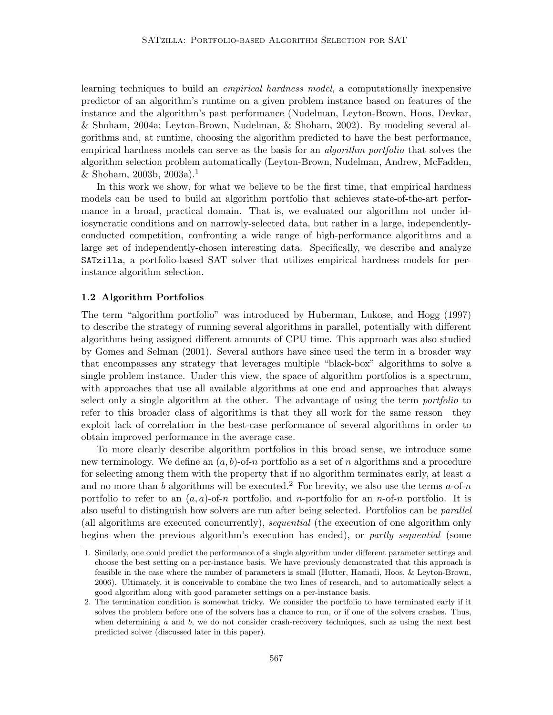learning techniques to build an *empirical hardness model*, a computationally inexpensive predictor of an algorithm's runtime on a given problem instance based on features of the instance and the algorithm's past performance (Nudelman, Leyton-Brown, Hoos, Devkar, & Shoham, 2004a; Leyton-Brown, Nudelman, & Shoham, 2002). By modeling several algorithms and, at runtime, choosing the algorithm predicted to have the best performance, empirical hardness models can serve as the basis for an *algorithm portfolio* that solves the algorithm selection problem automatically (Leyton-Brown, Nudelman, Andrew, McFadden, & Shoham, 2003b, 2003a).<sup>1</sup>

In this work we show, for what we believe to be the first time, that empirical hardness models can be used to build an algorithm portfolio that achieves state-of-the-art performance in a broad, practical domain. That is, we evaluated our algorithm not under idiosyncratic conditions and on narrowly-selected data, but rather in a large, independentlyconducted competition, confronting a wide range of high-performance algorithms and a large set of independently-chosen interesting data. Specifically, we describe and analyze SATzilla, a portfolio-based SAT solver that utilizes empirical hardness models for perinstance algorithm selection.

# 1.2 Algorithm Portfolios

The term "algorithm portfolio" was introduced by Huberman, Lukose, and Hogg (1997) to describe the strategy of running several algorithms in parallel, potentially with different algorithms being assigned different amounts of CPU time. This approach was also studied by Gomes and Selman (2001). Several authors have since used the term in a broader way that encompasses any strategy that leverages multiple "black-box" algorithms to solve a single problem instance. Under this view, the space of algorithm portfolios is a spectrum, with approaches that use all available algorithms at one end and approaches that always select only a single algorithm at the other. The advantage of using the term *portfolio* to refer to this broader class of algorithms is that they all work for the same reason—they exploit lack of correlation in the best-case performance of several algorithms in order to obtain improved performance in the average case.

To more clearly describe algorithm portfolios in this broad sense, we introduce some new terminology. We define an  $(a, b)$ -of-n portfolio as a set of n algorithms and a procedure for selecting among them with the property that if no algorithm terminates early, at least  $a$ and no more than b algorithms will be executed.<sup>2</sup> For brevity, we also use the terms  $a$ -of-n portfolio to refer to an  $(a, a)$ -of-n portfolio, and n-portfolio for an n-of-n portfolio. It is also useful to distinguish how solvers are run after being selected. Portfolios can be parallel (all algorithms are executed concurrently), sequential (the execution of one algorithm only begins when the previous algorithm's execution has ended), or *partly sequential* (some

<sup>1.</sup> Similarly, one could predict the performance of a single algorithm under different parameter settings and choose the best setting on a per-instance basis. We have previously demonstrated that this approach is feasible in the case where the number of parameters is small (Hutter, Hamadi, Hoos, & Leyton-Brown, 2006). Ultimately, it is conceivable to combine the two lines of research, and to automatically select a good algorithm along with good parameter settings on a per-instance basis.

<sup>2.</sup> The termination condition is somewhat tricky. We consider the portfolio to have terminated early if it solves the problem before one of the solvers has a chance to run, or if one of the solvers crashes. Thus, when determining  $a$  and  $b$ , we do not consider crash-recovery techniques, such as using the next best predicted solver (discussed later in this paper).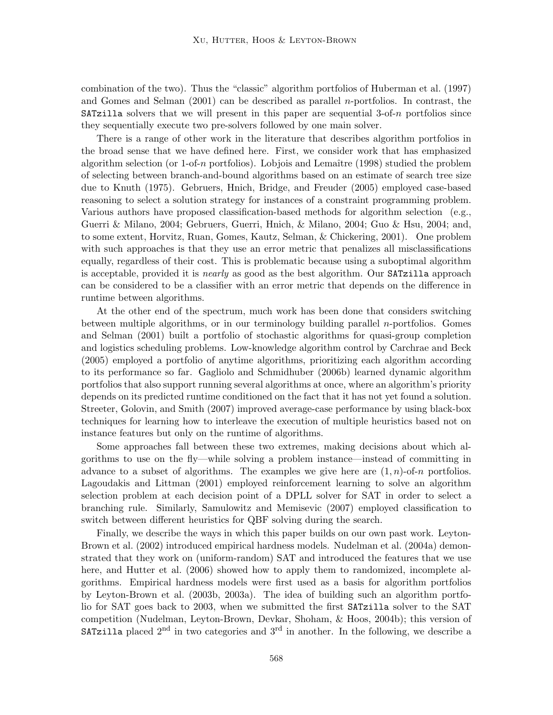combination of the two). Thus the "classic" algorithm portfolios of Huberman et al. (1997) and Gomes and Selman  $(2001)$  can be described as parallel *n*-portfolios. In contrast, the **SATzilla** solvers that we will present in this paper are sequential 3-of-n portfolios since they sequentially execute two pre-solvers followed by one main solver.

There is a range of other work in the literature that describes algorithm portfolios in the broad sense that we have defined here. First, we consider work that has emphasized algorithm selection (or  $1$ -of-n portfolios). Lobjois and Lemaître (1998) studied the problem of selecting between branch-and-bound algorithms based on an estimate of search tree size due to Knuth (1975). Gebruers, Hnich, Bridge, and Freuder (2005) employed case-based reasoning to select a solution strategy for instances of a constraint programming problem. Various authors have proposed classification-based methods for algorithm selection (e.g., Guerri & Milano, 2004; Gebruers, Guerri, Hnich, & Milano, 2004; Guo & Hsu, 2004; and, to some extent, Horvitz, Ruan, Gomes, Kautz, Selman, & Chickering, 2001). One problem with such approaches is that they use an error metric that penalizes all misclassifications equally, regardless of their cost. This is problematic because using a suboptimal algorithm is acceptable, provided it is *nearly* as good as the best algorithm. Our **SATzilla** approach can be considered to be a classifier with an error metric that depends on the difference in runtime between algorithms.

At the other end of the spectrum, much work has been done that considers switching between multiple algorithms, or in our terminology building parallel n-portfolios. Gomes and Selman (2001) built a portfolio of stochastic algorithms for quasi-group completion and logistics scheduling problems. Low-knowledge algorithm control by Carchrae and Beck (2005) employed a portfolio of anytime algorithms, prioritizing each algorithm according to its performance so far. Gagliolo and Schmidhuber (2006b) learned dynamic algorithm portfolios that also support running several algorithms at once, where an algorithm's priority depends on its predicted runtime conditioned on the fact that it has not yet found a solution. Streeter, Golovin, and Smith (2007) improved average-case performance by using black-box techniques for learning how to interleave the execution of multiple heuristics based not on instance features but only on the runtime of algorithms.

Some approaches fall between these two extremes, making decisions about which algorithms to use on the fly—while solving a problem instance—instead of committing in advance to a subset of algorithms. The examples we give here are  $(1, n)$ -of-n portfolios. Lagoudakis and Littman (2001) employed reinforcement learning to solve an algorithm selection problem at each decision point of a DPLL solver for SAT in order to select a branching rule. Similarly, Samulowitz and Memisevic (2007) employed classification to switch between different heuristics for QBF solving during the search.

Finally, we describe the ways in which this paper builds on our own past work. Leyton-Brown et al. (2002) introduced empirical hardness models. Nudelman et al. (2004a) demonstrated that they work on (uniform-random) SAT and introduced the features that we use here, and Hutter et al. (2006) showed how to apply them to randomized, incomplete algorithms. Empirical hardness models were first used as a basis for algorithm portfolios by Leyton-Brown et al. (2003b, 2003a). The idea of building such an algorithm portfolio for SAT goes back to 2003, when we submitted the first SATzilla solver to the SAT competition (Nudelman, Leyton-Brown, Devkar, Shoham, & Hoos, 2004b); this version of **SATzilla** placed  $2<sup>nd</sup>$  in two categories and  $3<sup>rd</sup>$  in another. In the following, we describe a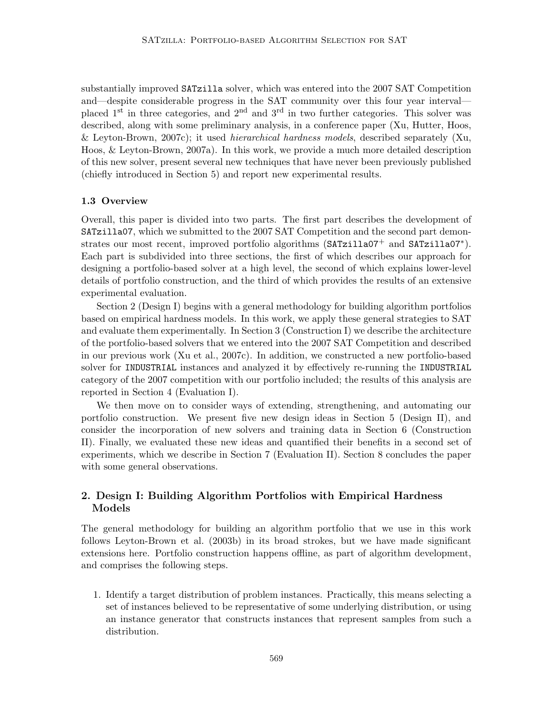substantially improved SATzilla solver, which was entered into the 2007 SAT Competition and—despite considerable progress in the SAT community over this four year interval placed  $1<sup>st</sup>$  in three categories, and  $2<sup>nd</sup>$  and  $3<sup>rd</sup>$  in two further categories. This solver was described, along with some preliminary analysis, in a conference paper (Xu, Hutter, Hoos, & Leyton-Brown, 2007c); it used *hierarchical hardness models*, described separately (Xu, Hoos, & Leyton-Brown, 2007a). In this work, we provide a much more detailed description of this new solver, present several new techniques that have never been previously published (chiefly introduced in Section 5) and report new experimental results.

# 1.3 Overview

Overall, this paper is divided into two parts. The first part describes the development of SATzilla07, which we submitted to the 2007 SAT Competition and the second part demonstrates our most recent, improved portfolio algorithms (SATzilla07<sup>+</sup> and SATzilla07<sup>\*</sup>). Each part is subdivided into three sections, the first of which describes our approach for designing a portfolio-based solver at a high level, the second of which explains lower-level details of portfolio construction, and the third of which provides the results of an extensive experimental evaluation.

Section 2 (Design I) begins with a general methodology for building algorithm portfolios based on empirical hardness models. In this work, we apply these general strategies to SAT and evaluate them experimentally. In Section 3 (Construction I) we describe the architecture of the portfolio-based solvers that we entered into the 2007 SAT Competition and described in our previous work (Xu et al., 2007c). In addition, we constructed a new portfolio-based solver for INDUSTRIAL instances and analyzed it by effectively re-running the INDUSTRIAL category of the 2007 competition with our portfolio included; the results of this analysis are reported in Section 4 (Evaluation I).

We then move on to consider ways of extending, strengthening, and automating our portfolio construction. We present five new design ideas in Section 5 (Design II), and consider the incorporation of new solvers and training data in Section 6 (Construction II). Finally, we evaluated these new ideas and quantified their benefits in a second set of experiments, which we describe in Section 7 (Evaluation II). Section 8 concludes the paper with some general observations.

# 2. Design I: Building Algorithm Portfolios with Empirical Hardness Models

The general methodology for building an algorithm portfolio that we use in this work follows Leyton-Brown et al. (2003b) in its broad strokes, but we have made significant extensions here. Portfolio construction happens offline, as part of algorithm development, and comprises the following steps.

1. Identify a target distribution of problem instances. Practically, this means selecting a set of instances believed to be representative of some underlying distribution, or using an instance generator that constructs instances that represent samples from such a distribution.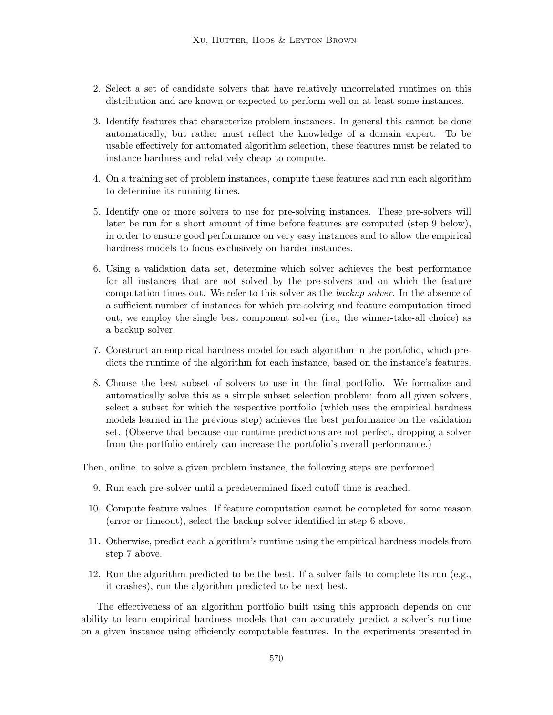- 2. Select a set of candidate solvers that have relatively uncorrelated runtimes on this distribution and are known or expected to perform well on at least some instances.
- 3. Identify features that characterize problem instances. In general this cannot be done automatically, but rather must reflect the knowledge of a domain expert. To be usable effectively for automated algorithm selection, these features must be related to instance hardness and relatively cheap to compute.
- 4. On a training set of problem instances, compute these features and run each algorithm to determine its running times.
- 5. Identify one or more solvers to use for pre-solving instances. These pre-solvers will later be run for a short amount of time before features are computed (step 9 below), in order to ensure good performance on very easy instances and to allow the empirical hardness models to focus exclusively on harder instances.
- 6. Using a validation data set, determine which solver achieves the best performance for all instances that are not solved by the pre-solvers and on which the feature computation times out. We refer to this solver as the backup solver. In the absence of a sufficient number of instances for which pre-solving and feature computation timed out, we employ the single best component solver (i.e., the winner-take-all choice) as a backup solver.
- 7. Construct an empirical hardness model for each algorithm in the portfolio, which predicts the runtime of the algorithm for each instance, based on the instance's features.
- 8. Choose the best subset of solvers to use in the final portfolio. We formalize and automatically solve this as a simple subset selection problem: from all given solvers, select a subset for which the respective portfolio (which uses the empirical hardness models learned in the previous step) achieves the best performance on the validation set. (Observe that because our runtime predictions are not perfect, dropping a solver from the portfolio entirely can increase the portfolio's overall performance.)

Then, online, to solve a given problem instance, the following steps are performed.

- 9. Run each pre-solver until a predetermined fixed cutoff time is reached.
- 10. Compute feature values. If feature computation cannot be completed for some reason (error or timeout), select the backup solver identified in step 6 above.
- 11. Otherwise, predict each algorithm's runtime using the empirical hardness models from step 7 above.
- 12. Run the algorithm predicted to be the best. If a solver fails to complete its run (e.g., it crashes), run the algorithm predicted to be next best.

The effectiveness of an algorithm portfolio built using this approach depends on our ability to learn empirical hardness models that can accurately predict a solver's runtime on a given instance using efficiently computable features. In the experiments presented in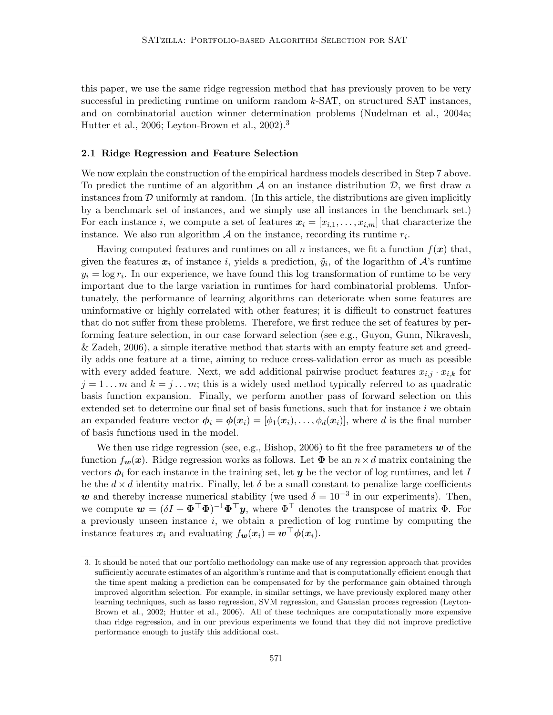this paper, we use the same ridge regression method that has previously proven to be very successful in predicting runtime on uniform random k-SAT, on structured SAT instances, and on combinatorial auction winner determination problems (Nudelman et al., 2004a; Hutter et al., 2006; Leyton-Brown et al., 2002).<sup>3</sup>

#### 2.1 Ridge Regression and Feature Selection

We now explain the construction of the empirical hardness models described in Step 7 above. To predict the runtime of an algorithm  $\mathcal A$  on an instance distribution  $\mathcal D$ , we first draw n instances from  $D$  uniformly at random. (In this article, the distributions are given implicitly by a benchmark set of instances, and we simply use all instances in the benchmark set.) For each instance i, we compute a set of features  $x_i = [x_{i,1}, \ldots, x_{i,m}]$  that characterize the instance. We also run algorithm  $A$  on the instance, recording its runtime  $r_i$ .

Having computed features and runtimes on all n instances, we fit a function  $f(x)$  that, given the features  $x_i$  of instance i, yields a prediction,  $\tilde{y}_i$ , of the logarithm of  $\mathcal{A}$ 's runtime  $y_i = \log r_i$ . In our experience, we have found this log transformation of runtime to be very important due to the large variation in runtimes for hard combinatorial problems. Unfortunately, the performance of learning algorithms can deteriorate when some features are uninformative or highly correlated with other features; it is difficult to construct features that do not suffer from these problems. Therefore, we first reduce the set of features by performing feature selection, in our case forward selection (see e.g., Guyon, Gunn, Nikravesh, & Zadeh, 2006), a simple iterative method that starts with an empty feature set and greedily adds one feature at a time, aiming to reduce cross-validation error as much as possible with every added feature. Next, we add additional pairwise product features  $x_{i,j} \cdot x_{i,k}$  for  $j = 1...m$  and  $k = j...m$ ; this is a widely used method typically referred to as quadratic basis function expansion. Finally, we perform another pass of forward selection on this extended set to determine our final set of basis functions, such that for instance  $i$  we obtain an expanded feature vector  $\phi_i = \phi(x_i) = [\phi_1(x_i), \dots, \phi_d(x_i)]$ , where d is the final number of basis functions used in the model.

We then use ridge regression (see, e.g., Bishop, 2006) to fit the free parameters  $w$  of the function  $f_{w}(x)$ . Ridge regression works as follows. Let  $\Phi$  be an  $n \times d$  matrix containing the vectors  $\phi_i$  for each instance in the training set, let y be the vector of log runtimes, and let I be the  $d \times d$  identity matrix. Finally, let  $\delta$  be a small constant to penalize large coefficients w and thereby increase numerical stability (we used  $\delta = 10^{-3}$  in our experiments). Then, we compute  $\mathbf{w} = (\delta I + \mathbf{\Phi}^\top \mathbf{\Phi})^{-1} \mathbf{\Phi}^\top \mathbf{y}$ , where  $\mathbf{\Phi}^\top$  denotes the transpose of matrix  $\mathbf{\Phi}$ . For a previously unseen instance  $i$ , we obtain a prediction of log runtime by computing the instance features  $x_i$  and evaluating  $f_{\boldsymbol{w}}(x_i) = \boldsymbol{w}^\top \phi(x_i)$ .

<sup>3.</sup> It should be noted that our portfolio methodology can make use of any regression approach that provides sufficiently accurate estimates of an algorithm's runtime and that is computationally efficient enough that the time spent making a prediction can be compensated for by the performance gain obtained through improved algorithm selection. For example, in similar settings, we have previously explored many other learning techniques, such as lasso regression, SVM regression, and Gaussian process regression (Leyton-Brown et al., 2002; Hutter et al., 2006). All of these techniques are computationally more expensive than ridge regression, and in our previous experiments we found that they did not improve predictive performance enough to justify this additional cost.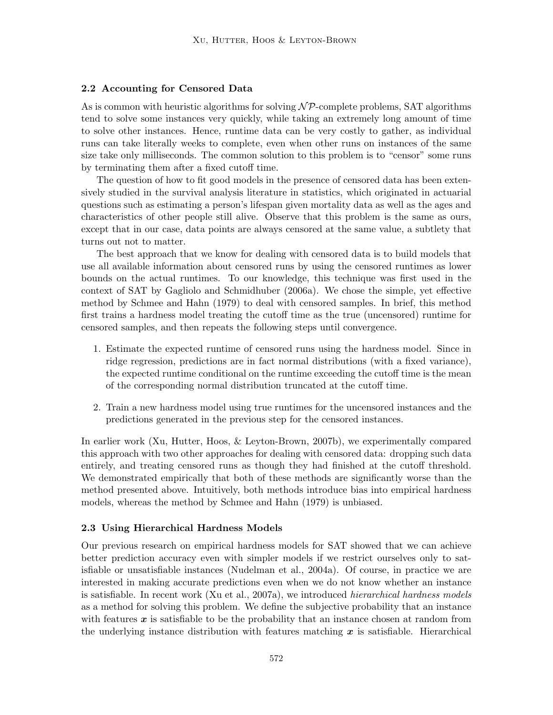#### 2.2 Accounting for Censored Data

As is common with heuristic algorithms for solving  $\mathcal{NP}$ -complete problems, SAT algorithms tend to solve some instances very quickly, while taking an extremely long amount of time to solve other instances. Hence, runtime data can be very costly to gather, as individual runs can take literally weeks to complete, even when other runs on instances of the same size take only milliseconds. The common solution to this problem is to "censor" some runs by terminating them after a fixed cutoff time.

The question of how to fit good models in the presence of censored data has been extensively studied in the survival analysis literature in statistics, which originated in actuarial questions such as estimating a person's lifespan given mortality data as well as the ages and characteristics of other people still alive. Observe that this problem is the same as ours, except that in our case, data points are always censored at the same value, a subtlety that turns out not to matter.

The best approach that we know for dealing with censored data is to build models that use all available information about censored runs by using the censored runtimes as lower bounds on the actual runtimes. To our knowledge, this technique was first used in the context of SAT by Gagliolo and Schmidhuber (2006a). We chose the simple, yet effective method by Schmee and Hahn (1979) to deal with censored samples. In brief, this method first trains a hardness model treating the cutoff time as the true (uncensored) runtime for censored samples, and then repeats the following steps until convergence.

- 1. Estimate the expected runtime of censored runs using the hardness model. Since in ridge regression, predictions are in fact normal distributions (with a fixed variance), the expected runtime conditional on the runtime exceeding the cutoff time is the mean of the corresponding normal distribution truncated at the cutoff time.
- 2. Train a new hardness model using true runtimes for the uncensored instances and the predictions generated in the previous step for the censored instances.

In earlier work (Xu, Hutter, Hoos, & Leyton-Brown, 2007b), we experimentally compared this approach with two other approaches for dealing with censored data: dropping such data entirely, and treating censored runs as though they had finished at the cutoff threshold. We demonstrated empirically that both of these methods are significantly worse than the method presented above. Intuitively, both methods introduce bias into empirical hardness models, whereas the method by Schmee and Hahn (1979) is unbiased.

#### 2.3 Using Hierarchical Hardness Models

Our previous research on empirical hardness models for SAT showed that we can achieve better prediction accuracy even with simpler models if we restrict ourselves only to satisfiable or unsatisfiable instances (Nudelman et al., 2004a). Of course, in practice we are interested in making accurate predictions even when we do not know whether an instance is satisfiable. In recent work (Xu et al., 2007a), we introduced *hierarchical hardness models* as a method for solving this problem. We define the subjective probability that an instance with features  $x$  is satisfiable to be the probability that an instance chosen at random from the underlying instance distribution with features matching  $x$  is satisfiable. Hierarchical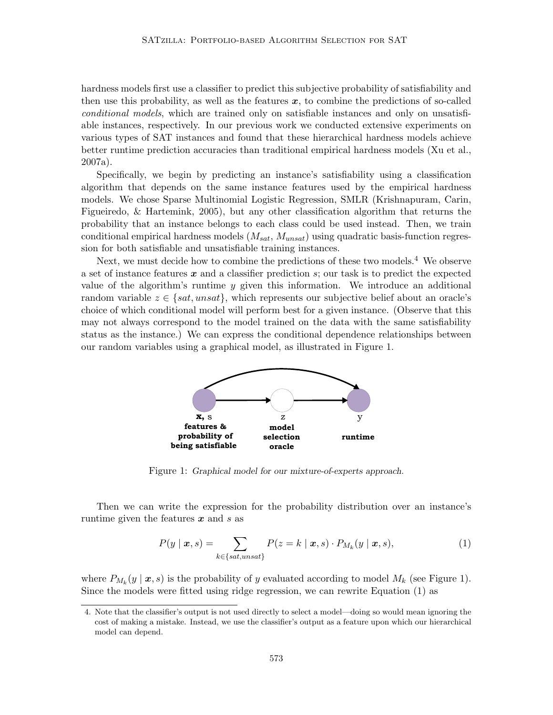hardness models first use a classifier to predict this subjective probability of satisfiability and then use this probability, as well as the features  $x$ , to combine the predictions of so-called conditional models, which are trained only on satisfiable instances and only on unsatisfiable instances, respectively. In our previous work we conducted extensive experiments on various types of SAT instances and found that these hierarchical hardness models achieve better runtime prediction accuracies than traditional empirical hardness models (Xu et al., 2007a).

Specifically, we begin by predicting an instance's satisfiability using a classification algorithm that depends on the same instance features used by the empirical hardness models. We chose Sparse Multinomial Logistic Regression, SMLR (Krishnapuram, Carin, Figueiredo, & Hartemink, 2005), but any other classification algorithm that returns the probability that an instance belongs to each class could be used instead. Then, we train conditional empirical hardness models  $(M_{sat}, M_{unsat})$  using quadratic basis-function regression for both satisfiable and unsatisfiable training instances.

Next, we must decide how to combine the predictions of these two models.<sup>4</sup> We observe a set of instance features  $x$  and a classifier prediction  $s$ ; our task is to predict the expected value of the algorithm's runtime  $y$  given this information. We introduce an additional random variable  $z \in \{sat,unsat\}$ , which represents our subjective belief about an oracle's choice of which conditional model will perform best for a given instance. (Observe that this may not always correspond to the model trained on the data with the same satisfiability status as the instance.) We can express the conditional dependence relationships between our random variables using a graphical model, as illustrated in Figure 1.



Figure 1: Graphical model for our mixture-of-experts approach.

Then we can write the expression for the probability distribution over an instance's runtime given the features  $x$  and  $s$  as

$$
P(y \mid \boldsymbol{x}, s) = \sum_{k \in \{sat,unsat\}} P(z = k \mid \boldsymbol{x}, s) \cdot P_{M_k}(y \mid \boldsymbol{x}, s), \tag{1}
$$

where  $P_{M_k}(y \mid \boldsymbol{x}, s)$  is the probability of y evaluated according to model  $M_k$  (see Figure 1). Since the models were fitted using ridge regression, we can rewrite Equation (1) as

<sup>4.</sup> Note that the classifier's output is not used directly to select a model—doing so would mean ignoring the cost of making a mistake. Instead, we use the classifier's output as a feature upon which our hierarchical model can depend.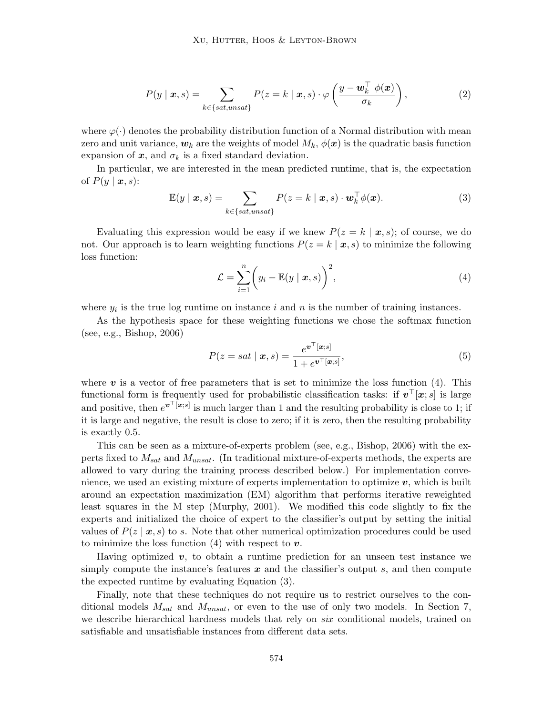$$
P(y \mid \boldsymbol{x}, s) = \sum_{k \in \{sat,unsat\}} P(z = k \mid \boldsymbol{x}, s) \cdot \varphi\left(\frac{y - \boldsymbol{w}_k^{\top} \phi(\boldsymbol{x})}{\sigma_k}\right),
$$
(2)

where  $\varphi(\cdot)$  denotes the probability distribution function of a Normal distribution with mean zero and unit variance,  $w_k$  are the weights of model  $M_k$ ,  $\phi(x)$  is the quadratic basis function expansion of  $x$ , and  $\sigma_k$  is a fixed standard deviation.

In particular, we are interested in the mean predicted runtime, that is, the expectation of  $P(y \mid x, s)$ :

$$
\mathbb{E}(y \mid \boldsymbol{x}, s) = \sum_{k \in \{sat,unsat\}} P(z = k \mid \boldsymbol{x}, s) \cdot \boldsymbol{w}_k^{\top} \phi(\boldsymbol{x}). \tag{3}
$$

Evaluating this expression would be easy if we knew  $P(z = k | x, s)$ ; of course, we do not. Our approach is to learn weighting functions  $P(z = k | x, s)$  to minimize the following loss function:

$$
\mathcal{L} = \sum_{i=1}^{n} \left( y_i - \mathbb{E}(y \mid \boldsymbol{x}, s) \right)^2, \tag{4}
$$

where  $y_i$  is the true log runtime on instance i and n is the number of training instances.

As the hypothesis space for these weighting functions we chose the softmax function (see, e.g., Bishop, 2006)

$$
P(z = sat \mid \boldsymbol{x}, s) = \frac{e^{\boldsymbol{v}^\top[\boldsymbol{x}; s]}}{1 + e^{\boldsymbol{v}^\top[\boldsymbol{x}; s]}},
$$
\n
$$
(5)
$$

where  $v$  is a vector of free parameters that is set to minimize the loss function (4). This functional form is frequently used for probabilistic classification tasks: if  $v^{\top}[x; s]$  is large and positive, then  $e^{\mathbf{v}^\top [\mathbf{x};s]}$  is much larger than 1 and the resulting probability is close to 1; if it is large and negative, the result is close to zero; if it is zero, then the resulting probability is exactly 0.5.

This can be seen as a mixture-of-experts problem (see, e.g., Bishop, 2006) with the experts fixed to  $M_{sat}$  and  $M_{unsat}$ . (In traditional mixture-of-experts methods, the experts are allowed to vary during the training process described below.) For implementation convenience, we used an existing mixture of experts implementation to optimize  $v$ , which is built around an expectation maximization (EM) algorithm that performs iterative reweighted least squares in the M step (Murphy, 2001). We modified this code slightly to fix the experts and initialized the choice of expert to the classifier's output by setting the initial values of  $P(z | x, s)$  to s. Note that other numerical optimization procedures could be used to minimize the loss function  $(4)$  with respect to v.

Having optimized  $v$ , to obtain a runtime prediction for an unseen test instance we simply compute the instance's features  $x$  and the classifier's output s, and then compute the expected runtime by evaluating Equation (3).

Finally, note that these techniques do not require us to restrict ourselves to the conditional models  $M_{sat}$  and  $M_{unsat}$ , or even to the use of only two models. In Section 7, we describe hierarchical hardness models that rely on *six* conditional models, trained on satisfiable and unsatisfiable instances from different data sets.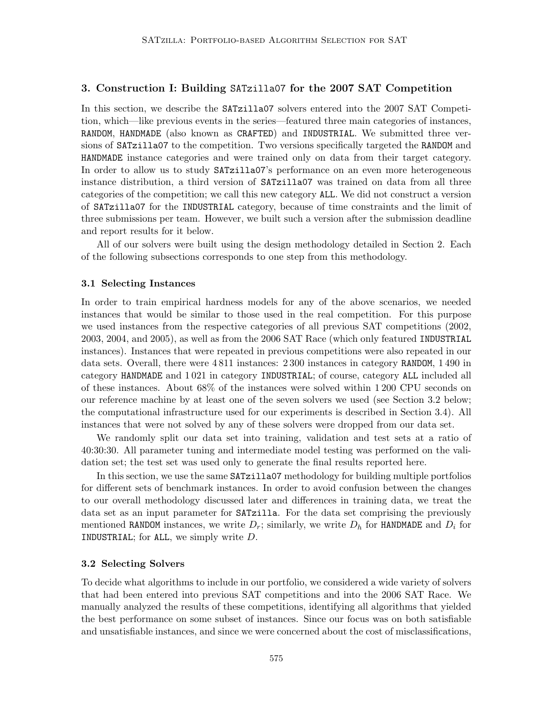# 3. Construction I: Building SATzilla07 for the 2007 SAT Competition

In this section, we describe the SATzilla07 solvers entered into the 2007 SAT Competition, which—like previous events in the series—featured three main categories of instances, RANDOM, HANDMADE (also known as CRAFTED) and INDUSTRIAL. We submitted three versions of SATzilla07 to the competition. Two versions specifically targeted the RANDOM and HANDMADE instance categories and were trained only on data from their target category. In order to allow us to study SATzilla07's performance on an even more heterogeneous instance distribution, a third version of SATzilla07 was trained on data from all three categories of the competition; we call this new category ALL. We did not construct a version of SATzilla07 for the INDUSTRIAL category, because of time constraints and the limit of three submissions per team. However, we built such a version after the submission deadline and report results for it below.

All of our solvers were built using the design methodology detailed in Section 2. Each of the following subsections corresponds to one step from this methodology.

#### 3.1 Selecting Instances

In order to train empirical hardness models for any of the above scenarios, we needed instances that would be similar to those used in the real competition. For this purpose we used instances from the respective categories of all previous SAT competitions (2002, 2003, 2004, and 2005), as well as from the 2006 SAT Race (which only featured INDUSTRIAL instances). Instances that were repeated in previous competitions were also repeated in our data sets. Overall, there were 4 811 instances: 2 300 instances in category RANDOM, 1 490 in category HANDMADE and 1 021 in category INDUSTRIAL; of course, category ALL included all of these instances. About 68% of the instances were solved within 1 200 CPU seconds on our reference machine by at least one of the seven solvers we used (see Section 3.2 below; the computational infrastructure used for our experiments is described in Section 3.4). All instances that were not solved by any of these solvers were dropped from our data set.

We randomly split our data set into training, validation and test sets at a ratio of 40:30:30. All parameter tuning and intermediate model testing was performed on the validation set; the test set was used only to generate the final results reported here.

In this section, we use the same SATzilla07 methodology for building multiple portfolios for different sets of benchmark instances. In order to avoid confusion between the changes to our overall methodology discussed later and differences in training data, we treat the data set as an input parameter for SATzilla. For the data set comprising the previously mentioned RANDOM instances, we write  $D_r$ ; similarly, we write  $D_h$  for HANDMADE and  $D_i$  for INDUSTRIAL; for ALL, we simply write D.

#### 3.2 Selecting Solvers

To decide what algorithms to include in our portfolio, we considered a wide variety of solvers that had been entered into previous SAT competitions and into the 2006 SAT Race. We manually analyzed the results of these competitions, identifying all algorithms that yielded the best performance on some subset of instances. Since our focus was on both satisfiable and unsatisfiable instances, and since we were concerned about the cost of misclassifications,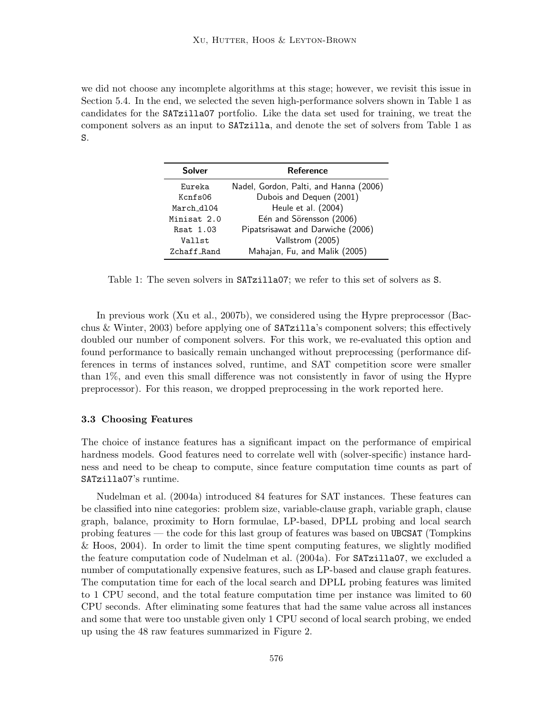we did not choose any incomplete algorithms at this stage; however, we revisit this issue in Section 5.4. In the end, we selected the seven high-performance solvers shown in Table 1 as candidates for the SATzilla07 portfolio. Like the data set used for training, we treat the component solvers as an input to SATzilla, and denote the set of solvers from Table 1 as S.

| Solver        | Reference                              |
|---------------|----------------------------------------|
| <b>Eureka</b> | Nadel, Gordon, Palti, and Hanna (2006) |
| Kcnfs06       | Dubois and Dequen (2001)               |
| March d104    | Heule et al. (2004)                    |
| Minisat 2.0   | Eén and Sörensson (2006)               |
| Rsat 1.03     | Pipatsrisawat and Darwiche (2006)      |
| Vallst        | Vallstrom (2005)                       |
| Zchaff Rand   | Mahajan, Fu, and Malik (2005)          |

Table 1: The seven solvers in SATzilla07; we refer to this set of solvers as S.

In previous work (Xu et al., 2007b), we considered using the Hypre preprocessor (Bacchus & Winter, 2003) before applying one of SATzilla's component solvers; this effectively doubled our number of component solvers. For this work, we re-evaluated this option and found performance to basically remain unchanged without preprocessing (performance differences in terms of instances solved, runtime, and SAT competition score were smaller than 1%, and even this small difference was not consistently in favor of using the Hypre preprocessor). For this reason, we dropped preprocessing in the work reported here.

#### 3.3 Choosing Features

The choice of instance features has a significant impact on the performance of empirical hardness models. Good features need to correlate well with (solver-specific) instance hardness and need to be cheap to compute, since feature computation time counts as part of SATzilla07's runtime.

Nudelman et al. (2004a) introduced 84 features for SAT instances. These features can be classified into nine categories: problem size, variable-clause graph, variable graph, clause graph, balance, proximity to Horn formulae, LP-based, DPLL probing and local search probing features — the code for this last group of features was based on UBCSAT (Tompkins & Hoos, 2004). In order to limit the time spent computing features, we slightly modified the feature computation code of Nudelman et al. (2004a). For SATzilla07, we excluded a number of computationally expensive features, such as LP-based and clause graph features. The computation time for each of the local search and DPLL probing features was limited to 1 CPU second, and the total feature computation time per instance was limited to 60 CPU seconds. After eliminating some features that had the same value across all instances and some that were too unstable given only 1 CPU second of local search probing, we ended up using the 48 raw features summarized in Figure 2.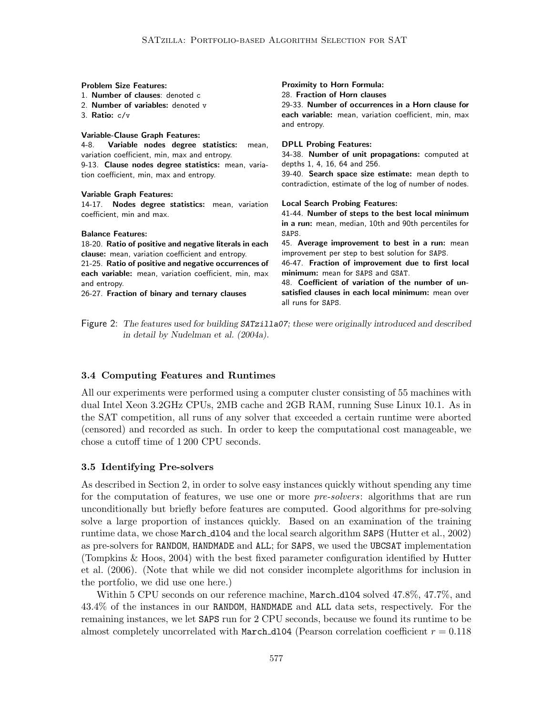| <b>Problem Size Features:</b>                          | <b>Proximity to Horn Formula:</b>                                                                          |
|--------------------------------------------------------|------------------------------------------------------------------------------------------------------------|
| 1. Number of clauses: denoted c                        | 28. Fraction of Horn clauses                                                                               |
| 2. Number of variables: denoted v                      | 29-33. Number of occurrences in a Horn clause for                                                          |
| 3. Ratio: $c/v$                                        | each variable: mean, variation coefficient, min, max<br>and entropy.                                       |
| <b>Variable-Clause Graph Features:</b>                 |                                                                                                            |
| 4-8. Variable nodes degree statistics:<br>mean,        | <b>DPLL Probing Features:</b>                                                                              |
| variation coefficient, min, max and entropy.           | 34-38. Number of unit propagations: computed at                                                            |
| 9-13. Clause nodes degree statistics: mean, varia-     | depths 1, 4, 16, 64 and 256.                                                                               |
| tion coefficient, min, max and entropy.                | 39-40. Search space size estimate: mean depth to<br>contradiction, estimate of the log of number of nodes. |
| <b>Variable Graph Features:</b>                        |                                                                                                            |
| 14-17. Nodes degree statistics: mean, variation        | <b>Local Search Probing Features:</b>                                                                      |
| coefficient, min and max.                              | 41-44. Number of steps to the best local minimum                                                           |
|                                                        | in a run: mean, median, 10th and 90th percentiles for                                                      |
| <b>Balance Features:</b>                               | SAPS.                                                                                                      |
| 18-20. Ratio of positive and negative literals in each | 45. Average improvement to best in a run: mean                                                             |
| clause: mean, variation coefficient and entropy.       | improvement per step to best solution for SAPS.                                                            |
| 21-25. Ratio of positive and negative occurrences of   | 46-47. Fraction of improvement due to first local                                                          |
| each variable: mean, variation coefficient, min, max   | minimum: mean for SAPS and GSAT.                                                                           |
| and entropy.                                           | 48. Coefficient of variation of the number of un-                                                          |
| 26-27. Fraction of binary and ternary clauses          | satisfied clauses in each local minimum: mean over<br>all runs for SAPS.                                   |
|                                                        | Figure 2: The features used for building SATzilla07; these were originally introduced and described        |

# 3.4 Computing Features and Runtimes

in detail by Nudelman et al. (2004a).

All our experiments were performed using a computer cluster consisting of 55 machines with dual Intel Xeon 3.2GHz CPUs, 2MB cache and 2GB RAM, running Suse Linux 10.1. As in the SAT competition, all runs of any solver that exceeded a certain runtime were aborted (censored) and recorded as such. In order to keep the computational cost manageable, we chose a cutoff time of 1 200 CPU seconds.

# 3.5 Identifying Pre-solvers

As described in Section 2, in order to solve easy instances quickly without spending any time for the computation of features, we use one or more *pre-solvers*: algorithms that are run unconditionally but briefly before features are computed. Good algorithms for pre-solving solve a large proportion of instances quickly. Based on an examination of the training runtime data, we chose March dl04 and the local search algorithm SAPS (Hutter et al., 2002) as pre-solvers for RANDOM, HANDMADE and ALL; for SAPS, we used the UBCSAT implementation (Tompkins & Hoos, 2004) with the best fixed parameter configuration identified by Hutter et al. (2006). (Note that while we did not consider incomplete algorithms for inclusion in the portfolio, we did use one here.)

Within 5 CPU seconds on our reference machine, March dl04 solved 47.8%, 47.7%, and 43.4% of the instances in our RANDOM, HANDMADE and ALL data sets, respectively. For the remaining instances, we let SAPS run for 2 CPU seconds, because we found its runtime to be almost completely uncorrelated with March  $\Delta$ 104 (Pearson correlation coefficient  $r = 0.118$ )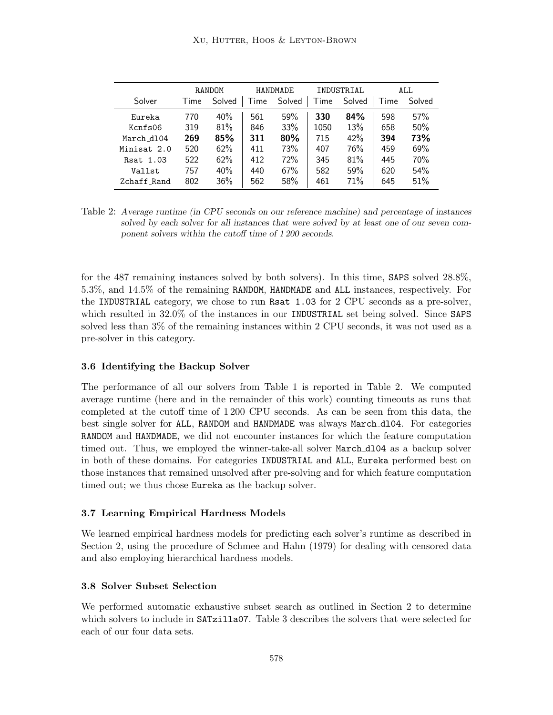|             |      | RANDOM |      | HANDMADE |      | INDUSTRIAL |      | ALL.   |
|-------------|------|--------|------|----------|------|------------|------|--------|
| Solver      | Time | Solved | Time | Solved   | Time | Solved     | Time | Solved |
| Eureka      | 770  | 40%    | 561  | 59%      | 330  | 84%        | 598  | 57%    |
| Kcnfs06     | 319  | 81%    | 846  | 33%      | 1050 | 13%        | 658  | 50%    |
| March d104  | 269  | 85%    | 311  | 80%      | 715  | 42%        | 394  | 73%    |
| Minisat 2.0 | 520  | 62%    | 411  | 73%      | 407  | 76%        | 459  | 69%    |
| Rsat 1.03   | 522  | 62%    | 412  | 72%      | 345  | 81%        | 445  | 70%    |
| Vallst      | 757  | 40%    | 440  | 67%      | 582  | 59%        | 620  | 54%    |
| Zchaff Rand | 802  | 36%    | 562  | 58%      | 461  | 71%        | 645  | 51%    |

Table 2: Average runtime (in CPU seconds on our reference machine) and percentage of instances solved by each solver for all instances that were solved by at least one of our seven component solvers within the cutoff time of 1 200 seconds.

for the 487 remaining instances solved by both solvers). In this time, SAPS solved 28.8%, 5.3%, and 14.5% of the remaining RANDOM, HANDMADE and ALL instances, respectively. For the INDUSTRIAL category, we chose to run Rsat 1.03 for 2 CPU seconds as a pre-solver, which resulted in 32.0% of the instances in our INDUSTRIAL set being solved. Since SAPS solved less than 3% of the remaining instances within 2 CPU seconds, it was not used as a pre-solver in this category.

# 3.6 Identifying the Backup Solver

The performance of all our solvers from Table 1 is reported in Table 2. We computed average runtime (here and in the remainder of this work) counting timeouts as runs that completed at the cutoff time of 1 200 CPU seconds. As can be seen from this data, the best single solver for ALL, RANDOM and HANDMADE was always March dl04. For categories RANDOM and HANDMADE, we did not encounter instances for which the feature computation timed out. Thus, we employed the winner-take-all solver March  $\text{d}104$  as a backup solver in both of these domains. For categories INDUSTRIAL and ALL, Eureka performed best on those instances that remained unsolved after pre-solving and for which feature computation timed out; we thus chose Eureka as the backup solver.

# 3.7 Learning Empirical Hardness Models

We learned empirical hardness models for predicting each solver's runtime as described in Section 2, using the procedure of Schmee and Hahn (1979) for dealing with censored data and also employing hierarchical hardness models.

# 3.8 Solver Subset Selection

We performed automatic exhaustive subset search as outlined in Section 2 to determine which solvers to include in **SATzilla07**. Table 3 describes the solvers that were selected for each of our four data sets.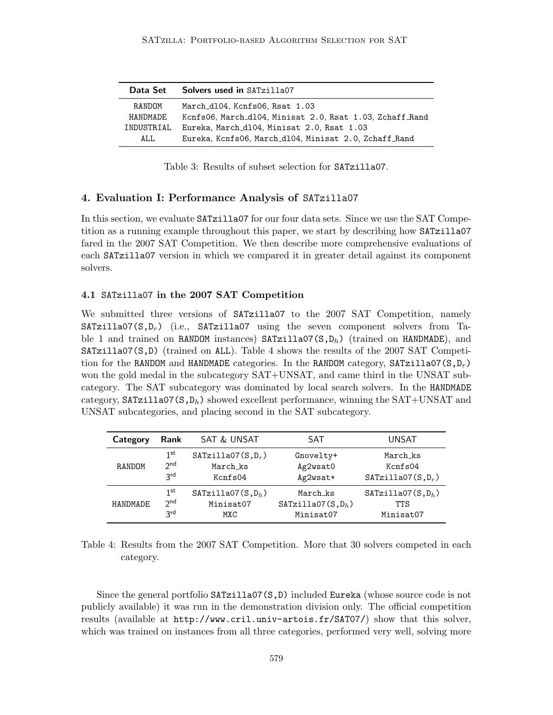| Data Set   | Solvers used in SATzilla07                               |
|------------|----------------------------------------------------------|
| RANDOM     | March_d104. Kcnfs06. Rsat 1.03                           |
| HANDMADE.  | Kcnfs06, March_d104, Minisat 2.0, Rsat 1.03, Zchaff_Rand |
| INDUSTRIAL | Eureka, March_d104, Minisat 2.0, Rsat 1.03               |
| ALL        | Eureka, Kcnfs06, March_d104, Minisat 2.0, Zchaff_Rand    |

Table 3: Results of subset selection for SATzilla07.

# 4. Evaluation I: Performance Analysis of SATzilla07

In this section, we evaluate SATzilla07 for our four data sets. Since we use the SAT Competition as a running example throughout this paper, we start by describing how SATzilla07 fared in the 2007 SAT Competition. We then describe more comprehensive evaluations of each SATzilla07 version in which we compared it in greater detail against its component solvers.

### 4.1 SATzilla07 in the 2007 SAT Competition

We submitted three versions of SATzilla07 to the 2007 SAT Competition, namely  $SATzilla07(S,D_r)$  (i.e.,  $SATzilla07$  using the seven component solvers from Table 1 and trained on RANDOM instances)  $\text{SATzillao7}(S, D_h)$  (trained on HANDMADE), and SATzilla07(S,D) (trained on ALL). Table 4 shows the results of the 2007 SAT Competition for the RANDOM and HANDMADE categories. In the RANDOM category,  $SATzilla07(S, D_r)$ won the gold medal in the subcategory  $SAT+UNSAT$ , and came third in the UNSAT subcategory. The SAT subcategory was dominated by local search solvers. In the HANDMADE category, SATzilla07( $S, D_h$ ) showed excellent performance, winning the SAT+UNSAT and UNSAT subcategories, and placing second in the SAT subcategory.

| Category | Rank            | SAT & UNSAT                   | <b>SAT</b>                    | UNSAT                         |
|----------|-----------------|-------------------------------|-------------------------------|-------------------------------|
| RANDOM   | 1st             | $SATzilla07(S,D_r)$           | Gnovelty+                     | March ks                      |
|          | 2 <sub>nd</sub> | March ks                      | Ag2wsat0                      | Kcnfs04                       |
|          | 3rd             | Kcnfs04                       | Ag2wsat+                      | $SATzilla07(S,D_r)$           |
| HANDMADE | 1st             | SATzilla07(S,D <sub>h</sub> ) | March_ks                      | SATzilla07(S,D <sub>h</sub> ) |
|          | 2 <sub>nd</sub> | Minisat07                     | SATzilla07(S,D <sub>h</sub> ) | <b>TTS</b>                    |
|          | 3 <sup>rd</sup> | MXC                           | Minisat07                     | Minisat07                     |

Table 4: Results from the 2007 SAT Competition. More that 30 solvers competed in each category.

Since the general portfolio SATzilla07(S,D) included Eureka (whose source code is not publicly available) it was run in the demonstration division only. The official competition results (available at http://www.cril.univ-artois.fr/SAT07/) show that this solver, which was trained on instances from all three categories, performed very well, solving more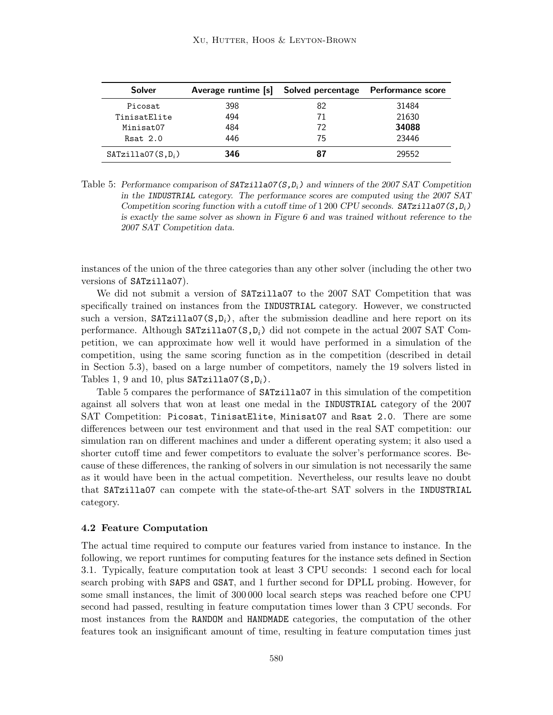| <b>Solver</b>                 | Average runtime [s] Solved percentage Performance score |    |       |
|-------------------------------|---------------------------------------------------------|----|-------|
| Picosat                       | 398                                                     | 82 | 31484 |
| TinisatElite                  | 494                                                     | 71 | 21630 |
| Minisat07                     | 484                                                     | 72 | 34088 |
| $R$ sat $2.0$                 | 446                                                     | 75 | 23446 |
| SATzilla07(S,D <sub>i</sub> ) | 346                                                     | 87 | 29552 |

Table 5: Performance comparison of  $SATzilla07(S,D<sub>i</sub>)$  and winners of the 2007 SAT Competition in the INDUSTRIAL category. The performance scores are computed using the 2007 SAT Competition scoring function with a cutoff time of 1 200 CPU seconds.  $SATzilla07(S, D_i)$ is exactly the same solver as shown in Figure 6 and was trained without reference to the 2007 SAT Competition data.

instances of the union of the three categories than any other solver (including the other two versions of SATzilla07).

We did not submit a version of SATzilla07 to the 2007 SAT Competition that was specifically trained on instances from the INDUSTRIAL category. However, we constructed such a version,  $\text{SATzilla07}(S, D_i)$ , after the submission deadline and here report on its performance. Although  $\text{SATzilla07}(S,D_i)$  did not compete in the actual 2007 SAT Competition, we can approximate how well it would have performed in a simulation of the competition, using the same scoring function as in the competition (described in detail in Section 5.3), based on a large number of competitors, namely the 19 solvers listed in Tables 1, 9 and 10, plus  $SATzilla07(S,D<sub>i</sub>)$ .

Table 5 compares the performance of SATzilla07 in this simulation of the competition against all solvers that won at least one medal in the INDUSTRIAL category of the 2007 SAT Competition: Picosat, TinisatElite, Minisat07 and Rsat 2.0. There are some differences between our test environment and that used in the real SAT competition: our simulation ran on different machines and under a different operating system; it also used a shorter cutoff time and fewer competitors to evaluate the solver's performance scores. Because of these differences, the ranking of solvers in our simulation is not necessarily the same as it would have been in the actual competition. Nevertheless, our results leave no doubt that SATzilla07 can compete with the state-of-the-art SAT solvers in the INDUSTRIAL category.

# 4.2 Feature Computation

The actual time required to compute our features varied from instance to instance. In the following, we report runtimes for computing features for the instance sets defined in Section 3.1. Typically, feature computation took at least 3 CPU seconds: 1 second each for local search probing with SAPS and GSAT, and 1 further second for DPLL probing. However, for some small instances, the limit of 300 000 local search steps was reached before one CPU second had passed, resulting in feature computation times lower than 3 CPU seconds. For most instances from the RANDOM and HANDMADE categories, the computation of the other features took an insignificant amount of time, resulting in feature computation times just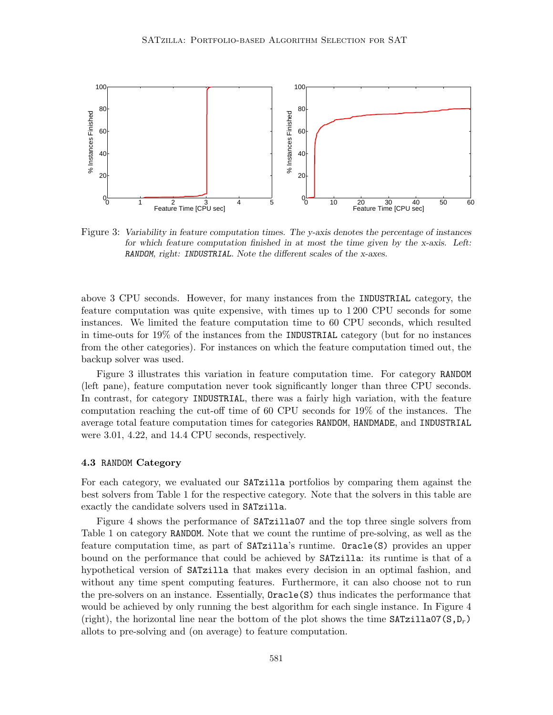

Figure 3: Variability in feature computation times. The y-axis denotes the percentage of instances for which feature computation finished in at most the time given by the x-axis. Left: RANDOM, right: INDUSTRIAL. Note the different scales of the x-axes.

above 3 CPU seconds. However, for many instances from the INDUSTRIAL category, the feature computation was quite expensive, with times up to 1 200 CPU seconds for some instances. We limited the feature computation time to 60 CPU seconds, which resulted in time-outs for 19% of the instances from the INDUSTRIAL category (but for no instances from the other categories). For instances on which the feature computation timed out, the backup solver was used.

Figure 3 illustrates this variation in feature computation time. For category RANDOM (left pane), feature computation never took significantly longer than three CPU seconds. In contrast, for category INDUSTRIAL, there was a fairly high variation, with the feature computation reaching the cut-off time of 60 CPU seconds for 19% of the instances. The average total feature computation times for categories RANDOM, HANDMADE, and INDUSTRIAL were 3.01, 4.22, and 14.4 CPU seconds, respectively.

#### 4.3 RANDOM Category

For each category, we evaluated our SATzilla portfolios by comparing them against the best solvers from Table 1 for the respective category. Note that the solvers in this table are exactly the candidate solvers used in SATzilla.

Figure 4 shows the performance of SATzilla07 and the top three single solvers from Table 1 on category RANDOM. Note that we count the runtime of pre-solving, as well as the feature computation time, as part of SATzilla's runtime. Oracle(S) provides an upper bound on the performance that could be achieved by SATzilla: its runtime is that of a hypothetical version of SATzilla that makes every decision in an optimal fashion, and without any time spent computing features. Furthermore, it can also choose not to run the pre-solvers on an instance. Essentially, Oracle(S) thus indicates the performance that would be achieved by only running the best algorithm for each single instance. In Figure 4 (right), the horizontal line near the bottom of the plot shows the time  $SATzilla07(S, D_r)$ allots to pre-solving and (on average) to feature computation.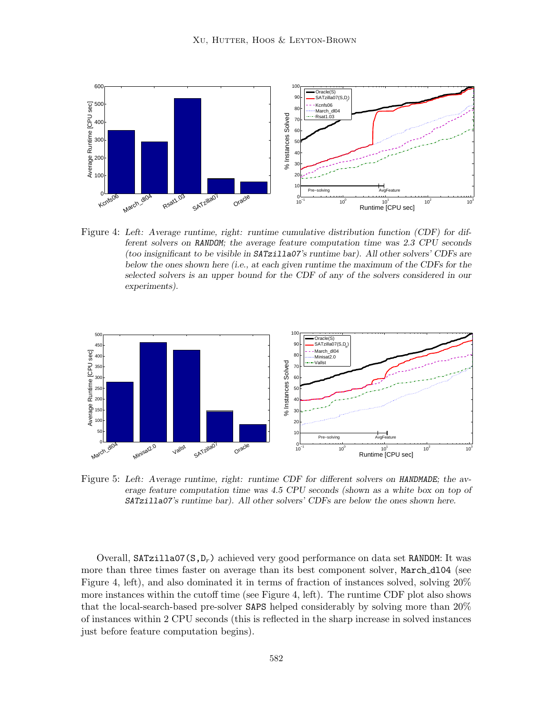

Figure 4: Left: Average runtime, right: runtime cumulative distribution function (CDF) for different solvers on RANDOM; the average feature computation time was 2.3 CPU seconds (too insignificant to be visible in SATzilla07's runtime bar). All other solvers' CDFs are below the ones shown here (i.e., at each given runtime the maximum of the CDFs for the selected solvers is an upper bound for the CDF of any of the solvers considered in our experiments).



Figure 5: Left: Average runtime, right: runtime CDF for different solvers on HANDMADE; the average feature computation time was 4.5 CPU seconds (shown as a white box on top of SATzilla07's runtime bar). All other solvers' CDFs are below the ones shown here.

Overall,  $SATzilla07(S,D_r)$  achieved very good performance on data set RANDOM: It was more than three times faster on average than its best component solver, March dl04 (see Figure 4, left), and also dominated it in terms of fraction of instances solved, solving 20% more instances within the cutoff time (see Figure 4, left). The runtime CDF plot also shows that the local-search-based pre-solver SAPS helped considerably by solving more than 20% of instances within 2 CPU seconds (this is reflected in the sharp increase in solved instances just before feature computation begins).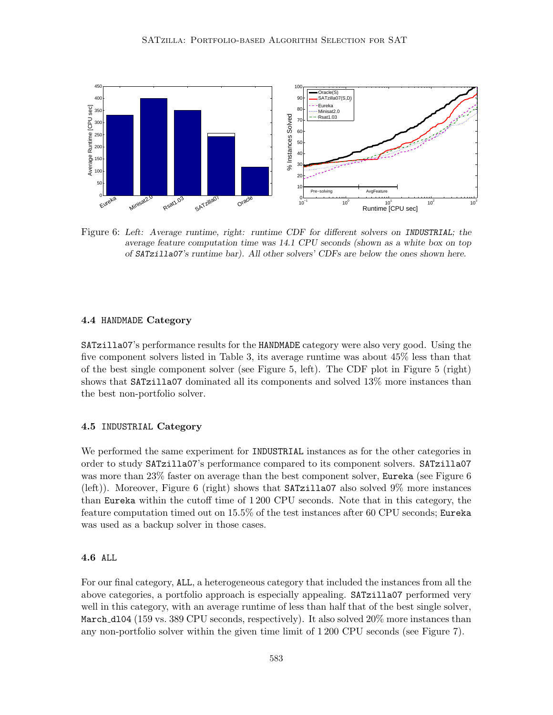

Figure 6: Left: Average runtime, right: runtime CDF for different solvers on INDUSTRIAL; the average feature computation time was 14.1 CPU seconds (shown as a white box on top of SATzilla07's runtime bar). All other solvers' CDFs are below the ones shown here.

### 4.4 HANDMADE Category

SATzilla07's performance results for the HANDMADE category were also very good. Using the five component solvers listed in Table 3, its average runtime was about 45% less than that of the best single component solver (see Figure 5, left). The CDF plot in Figure 5 (right) shows that SATzilla07 dominated all its components and solved 13% more instances than the best non-portfolio solver.

# 4.5 INDUSTRIAL Category

We performed the same experiment for INDUSTRIAL instances as for the other categories in order to study SATzilla07's performance compared to its component solvers. SATzilla07 was more than 23% faster on average than the best component solver, Eureka (see Figure 6 (left)). Moreover, Figure 6 (right) shows that SATzilla07 also solved 9% more instances than Eureka within the cutoff time of 1 200 CPU seconds. Note that in this category, the feature computation timed out on 15.5% of the test instances after 60 CPU seconds; Eureka was used as a backup solver in those cases.

#### 4.6 ALL

For our final category, ALL, a heterogeneous category that included the instances from all the above categories, a portfolio approach is especially appealing. SATzilla07 performed very well in this category, with an average runtime of less than half that of the best single solver, March dl04 (159 vs. 389 CPU seconds, respectively). It also solved 20% more instances than any non-portfolio solver within the given time limit of 1 200 CPU seconds (see Figure 7).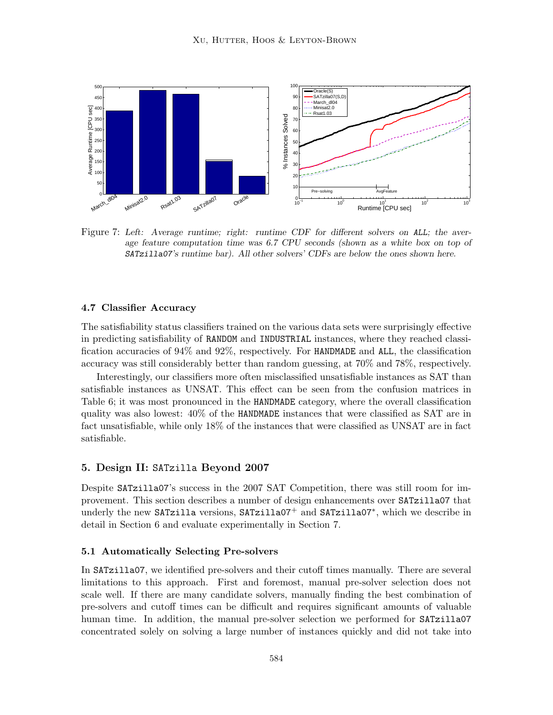

Figure 7: Left: Average runtime; right: runtime CDF for different solvers on ALL; the average feature computation time was 6.7 CPU seconds (shown as a white box on top of SATzilla07's runtime bar). All other solvers' CDFs are below the ones shown here.

#### 4.7 Classifier Accuracy

The satisfiability status classifiers trained on the various data sets were surprisingly effective in predicting satisfiability of RANDOM and INDUSTRIAL instances, where they reached classification accuracies of 94% and 92%, respectively. For HANDMADE and ALL, the classification accuracy was still considerably better than random guessing, at 70% and 78%, respectively.

Interestingly, our classifiers more often misclassified unsatisfiable instances as SAT than satisfiable instances as UNSAT. This effect can be seen from the confusion matrices in Table 6; it was most pronounced in the HANDMADE category, where the overall classification quality was also lowest: 40% of the HANDMADE instances that were classified as SAT are in fact unsatisfiable, while only 18% of the instances that were classified as UNSAT are in fact satisfiable.

# 5. Design II: SATzilla Beyond 2007

Despite SATzilla07's success in the 2007 SAT Competition, there was still room for improvement. This section describes a number of design enhancements over SATzilla07 that underly the new SATzilla versions, SATzilla07<sup>+</sup> and SATzilla07<sup>∗</sup> , which we describe in detail in Section 6 and evaluate experimentally in Section 7.

# 5.1 Automatically Selecting Pre-solvers

In SATzilla07, we identified pre-solvers and their cutoff times manually. There are several limitations to this approach. First and foremost, manual pre-solver selection does not scale well. If there are many candidate solvers, manually finding the best combination of pre-solvers and cutoff times can be difficult and requires significant amounts of valuable human time. In addition, the manual pre-solver selection we performed for **SATzilla07** concentrated solely on solving a large number of instances quickly and did not take into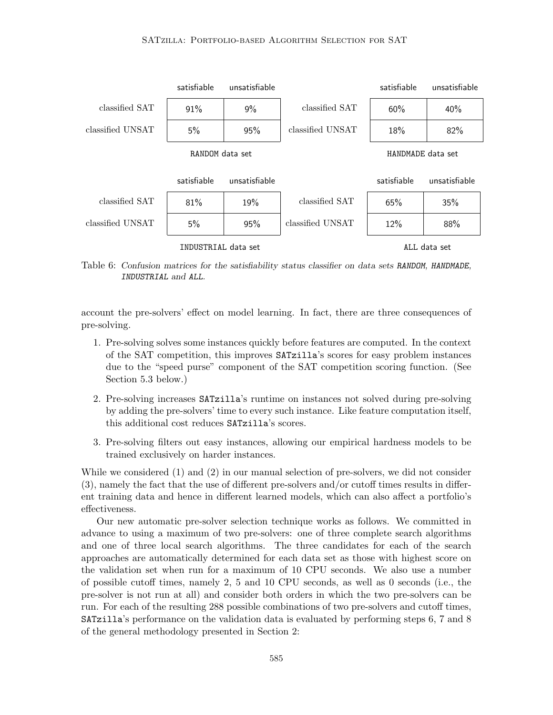

Table 6: Confusion matrices for the satisfiability status classifier on data sets RANDOM, HANDMADE, INDUSTRIAL and ALL.

account the pre-solvers' effect on model learning. In fact, there are three consequences of pre-solving.

- 1. Pre-solving solves some instances quickly before features are computed. In the context of the SAT competition, this improves SATzilla's scores for easy problem instances due to the "speed purse" component of the SAT competition scoring function. (See Section 5.3 below.)
- 2. Pre-solving increases SATzilla's runtime on instances not solved during pre-solving by adding the pre-solvers' time to every such instance. Like feature computation itself, this additional cost reduces SATzilla's scores.
- 3. Pre-solving filters out easy instances, allowing our empirical hardness models to be trained exclusively on harder instances.

While we considered (1) and (2) in our manual selection of pre-solvers, we did not consider (3), namely the fact that the use of different pre-solvers and/or cutoff times results in different training data and hence in different learned models, which can also affect a portfolio's effectiveness.

Our new automatic pre-solver selection technique works as follows. We committed in advance to using a maximum of two pre-solvers: one of three complete search algorithms and one of three local search algorithms. The three candidates for each of the search approaches are automatically determined for each data set as those with highest score on the validation set when run for a maximum of 10 CPU seconds. We also use a number of possible cutoff times, namely 2, 5 and 10 CPU seconds, as well as 0 seconds (i.e., the pre-solver is not run at all) and consider both orders in which the two pre-solvers can be run. For each of the resulting 288 possible combinations of two pre-solvers and cutoff times, SATzilla's performance on the validation data is evaluated by performing steps 6, 7 and 8 of the general methodology presented in Section 2: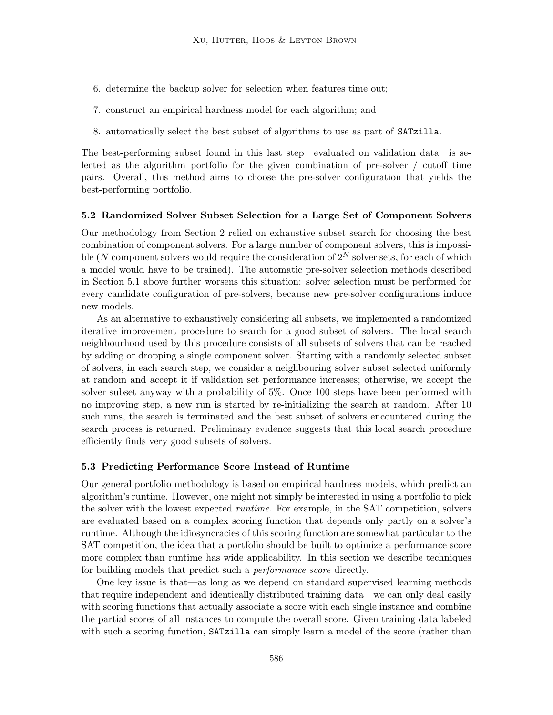- 6. determine the backup solver for selection when features time out;
- 7. construct an empirical hardness model for each algorithm; and
- 8. automatically select the best subset of algorithms to use as part of SATzilla.

The best-performing subset found in this last step—evaluated on validation data—is selected as the algorithm portfolio for the given combination of pre-solver / cutoff time pairs. Overall, this method aims to choose the pre-solver configuration that yields the best-performing portfolio.

#### 5.2 Randomized Solver Subset Selection for a Large Set of Component Solvers

Our methodology from Section 2 relied on exhaustive subset search for choosing the best combination of component solvers. For a large number of component solvers, this is impossible (N component solvers would require the consideration of  $2^N$  solver sets, for each of which a model would have to be trained). The automatic pre-solver selection methods described in Section 5.1 above further worsens this situation: solver selection must be performed for every candidate configuration of pre-solvers, because new pre-solver configurations induce new models.

As an alternative to exhaustively considering all subsets, we implemented a randomized iterative improvement procedure to search for a good subset of solvers. The local search neighbourhood used by this procedure consists of all subsets of solvers that can be reached by adding or dropping a single component solver. Starting with a randomly selected subset of solvers, in each search step, we consider a neighbouring solver subset selected uniformly at random and accept it if validation set performance increases; otherwise, we accept the solver subset anyway with a probability of 5%. Once 100 steps have been performed with no improving step, a new run is started by re-initializing the search at random. After 10 such runs, the search is terminated and the best subset of solvers encountered during the search process is returned. Preliminary evidence suggests that this local search procedure efficiently finds very good subsets of solvers.

# 5.3 Predicting Performance Score Instead of Runtime

Our general portfolio methodology is based on empirical hardness models, which predict an algorithm's runtime. However, one might not simply be interested in using a portfolio to pick the solver with the lowest expected runtime. For example, in the SAT competition, solvers are evaluated based on a complex scoring function that depends only partly on a solver's runtime. Although the idiosyncracies of this scoring function are somewhat particular to the SAT competition, the idea that a portfolio should be built to optimize a performance score more complex than runtime has wide applicability. In this section we describe techniques for building models that predict such a performance score directly.

One key issue is that—as long as we depend on standard supervised learning methods that require independent and identically distributed training data—we can only deal easily with scoring functions that actually associate a score with each single instance and combine the partial scores of all instances to compute the overall score. Given training data labeled with such a scoring function, **SATzilla** can simply learn a model of the score (rather than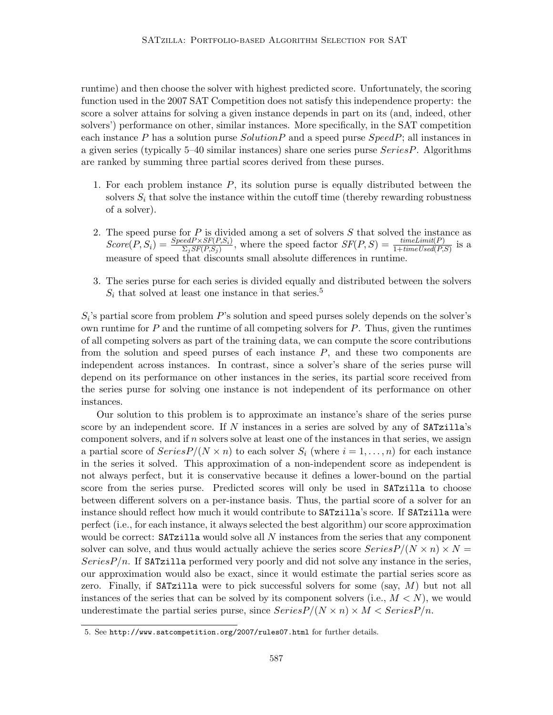runtime) and then choose the solver with highest predicted score. Unfortunately, the scoring function used in the 2007 SAT Competition does not satisfy this independence property: the score a solver attains for solving a given instance depends in part on its (and, indeed, other solvers') performance on other, similar instances. More specifically, in the SAT competition each instance P has a solution purse  $SolutionP$  and a speed purse  $SpeedP$ ; all instances in a given series (typically  $5-40$  similar instances) share one series purse  $SeriesP$ . Algorithms are ranked by summing three partial scores derived from these purses.

- 1. For each problem instance  $P$ , its solution purse is equally distributed between the solvers  $S_i$  that solve the instance within the cutoff time (thereby rewarding robustness of a solver).
- 2. The speed purse for  $P$  is divided among a set of solvers  $S$  that solved the instance as  $Score(P, S_i) = \frac{SpeedP \times SF(P, S_i)}{\sum_j SF(P, S_j)}$ , where the speed factor  $SF(P, S) = \frac{timeLimit(P)}{1 + timeUsed(P, S)}$  is a measure of speed that discounts small absolute differences in runtime.
- 3. The series purse for each series is divided equally and distributed between the solvers  $S_i$  that solved at least one instance in that series.<sup>5</sup>

 $S_i$ 's partial score from problem  $P$ 's solution and speed purses solely depends on the solver's own runtime for  $P$  and the runtime of all competing solvers for  $P$ . Thus, given the runtimes of all competing solvers as part of the training data, we can compute the score contributions from the solution and speed purses of each instance  $P$ , and these two components are independent across instances. In contrast, since a solver's share of the series purse will depend on its performance on other instances in the series, its partial score received from the series purse for solving one instance is not independent of its performance on other instances.

Our solution to this problem is to approximate an instance's share of the series purse score by an independent score. If  $N$  instances in a series are solved by any of  $SATzilla's$ component solvers, and if  $n$  solvers solve at least one of the instances in that series, we assign a partial score of  $SeriesP/(N \times n)$  to each solver  $S_i$  (where  $i = 1, ..., n$ ) for each instance in the series it solved. This approximation of a non-independent score as independent is not always perfect, but it is conservative because it defines a lower-bound on the partial score from the series purse. Predicted scores will only be used in SATzilla to choose between different solvers on a per-instance basis. Thus, the partial score of a solver for an instance should reflect how much it would contribute to SATzilla's score. If SATzilla were perfect (i.e., for each instance, it always selected the best algorithm) our score approximation would be correct: **SATzilla** would solve all N instances from the series that any component solver can solve, and thus would actually achieve the series score  $SeriesP/(N \times n) \times N =$ Series $P/n$ . If SATzilla performed very poorly and did not solve any instance in the series, our approximation would also be exact, since it would estimate the partial series score as zero. Finally, if SATzilla were to pick successful solvers for some (say,  $M$ ) but not all instances of the series that can be solved by its component solvers (i.e.,  $M < N$ ), we would underestimate the partial series purse, since  $SeriesP/(N \times n) \times M < SeriesP/n$ .

<sup>5.</sup> See http://www.satcompetition.org/2007/rules07.html for further details.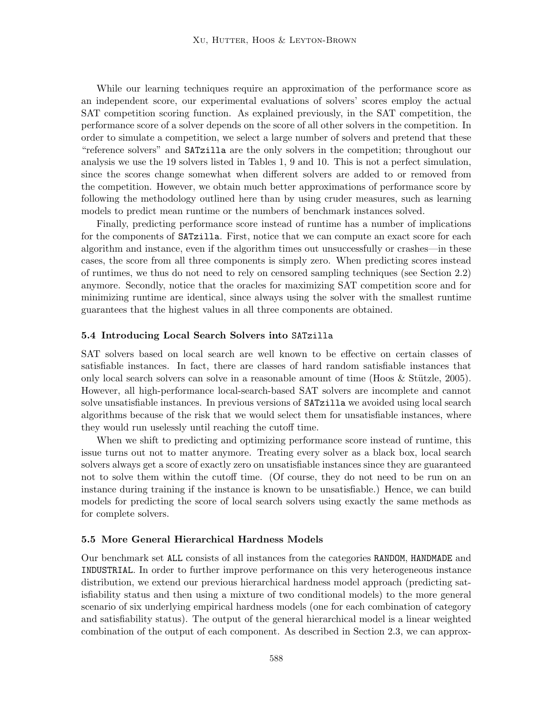While our learning techniques require an approximation of the performance score as an independent score, our experimental evaluations of solvers' scores employ the actual SAT competition scoring function. As explained previously, in the SAT competition, the performance score of a solver depends on the score of all other solvers in the competition. In order to simulate a competition, we select a large number of solvers and pretend that these "reference solvers" and SATzilla are the only solvers in the competition; throughout our analysis we use the 19 solvers listed in Tables 1, 9 and 10. This is not a perfect simulation, since the scores change somewhat when different solvers are added to or removed from the competition. However, we obtain much better approximations of performance score by following the methodology outlined here than by using cruder measures, such as learning models to predict mean runtime or the numbers of benchmark instances solved.

Finally, predicting performance score instead of runtime has a number of implications for the components of SATzilla. First, notice that we can compute an exact score for each algorithm and instance, even if the algorithm times out unsuccessfully or crashes—in these cases, the score from all three components is simply zero. When predicting scores instead of runtimes, we thus do not need to rely on censored sampling techniques (see Section 2.2) anymore. Secondly, notice that the oracles for maximizing SAT competition score and for minimizing runtime are identical, since always using the solver with the smallest runtime guarantees that the highest values in all three components are obtained.

#### 5.4 Introducing Local Search Solvers into SATzilla

SAT solvers based on local search are well known to be effective on certain classes of satisfiable instances. In fact, there are classes of hard random satisfiable instances that only local search solvers can solve in a reasonable amount of time (Hoos  $\&$  Stützle, 2005). However, all high-performance local-search-based SAT solvers are incomplete and cannot solve unsatisfiable instances. In previous versions of SATzilla we avoided using local search algorithms because of the risk that we would select them for unsatisfiable instances, where they would run uselessly until reaching the cutoff time.

When we shift to predicting and optimizing performance score instead of runtime, this issue turns out not to matter anymore. Treating every solver as a black box, local search solvers always get a score of exactly zero on unsatisfiable instances since they are guaranteed not to solve them within the cutoff time. (Of course, they do not need to be run on an instance during training if the instance is known to be unsatisfiable.) Hence, we can build models for predicting the score of local search solvers using exactly the same methods as for complete solvers.

#### 5.5 More General Hierarchical Hardness Models

Our benchmark set ALL consists of all instances from the categories RANDOM, HANDMADE and INDUSTRIAL. In order to further improve performance on this very heterogeneous instance distribution, we extend our previous hierarchical hardness model approach (predicting satisfiability status and then using a mixture of two conditional models) to the more general scenario of six underlying empirical hardness models (one for each combination of category and satisfiability status). The output of the general hierarchical model is a linear weighted combination of the output of each component. As described in Section 2.3, we can approx-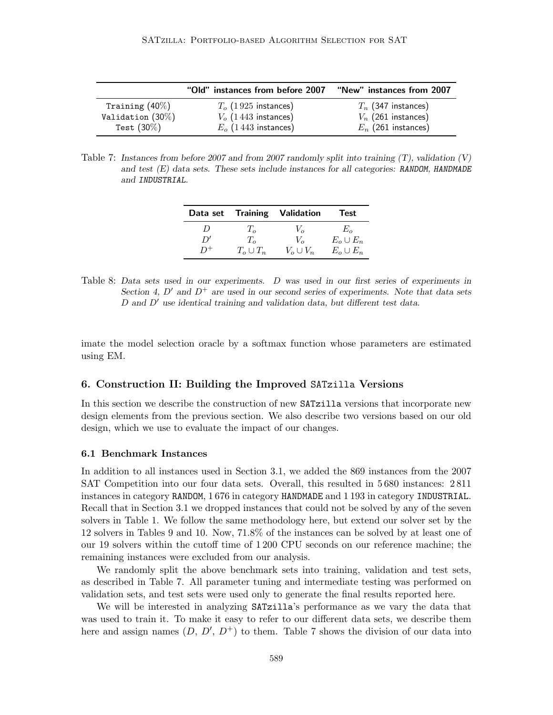|                     | "Old" instances from before 2007 | "New" instances from 2007 |
|---------------------|----------------------------------|---------------------------|
| Training $(40\%)$   | $T_o$ (1925 instances)           | $T_n$ (347 instances)     |
| Validation $(30\%)$ | $V_o$ (1443 instances)           | $V_n$ (261 instances)     |
| Test $(30\%)$       | $E_o$ (1443 instances)           | $E_n$ (261 instances)     |

Table 7: Instances from before 2007 and from 2007 randomly split into training  $(T)$ , validation  $(V)$ and test  $(E)$  data sets. These sets include instances for all categories: RANDOM, HANDMADE and INDUSTRIAL.

|           |                | Data set Training Validation | <b>Test</b>    |
|-----------|----------------|------------------------------|----------------|
| $\prime$  | $T_{\alpha}$   | $V_{\alpha}$                 | $E_{\alpha}$   |
| $\Gamma'$ | $T_{\alpha}$   | $V_{\alpha}$                 | $E_o \cup E_n$ |
|           | $T_o \cup T_n$ | $V_o \cup V_n$               | $E_o \cup E_n$ |

Table 8: Data sets used in our experiments. D was used in our first series of experiments in Section 4,  $D'$  and  $D^+$  are used in our second series of experiments. Note that data sets  $D$  and  $D'$  use identical training and validation data, but different test data.

imate the model selection oracle by a softmax function whose parameters are estimated using EM.

# 6. Construction II: Building the Improved SATzilla Versions

In this section we describe the construction of new SATzilla versions that incorporate new design elements from the previous section. We also describe two versions based on our old design, which we use to evaluate the impact of our changes.

### 6.1 Benchmark Instances

In addition to all instances used in Section 3.1, we added the 869 instances from the 2007 SAT Competition into our four data sets. Overall, this resulted in 5 680 instances: 2 811 instances in category RANDOM, 1 676 in category HANDMADE and 1 193 in category INDUSTRIAL. Recall that in Section 3.1 we dropped instances that could not be solved by any of the seven solvers in Table 1. We follow the same methodology here, but extend our solver set by the 12 solvers in Tables 9 and 10. Now, 71.8% of the instances can be solved by at least one of our 19 solvers within the cutoff time of 1 200 CPU seconds on our reference machine; the remaining instances were excluded from our analysis.

We randomly split the above benchmark sets into training, validation and test sets, as described in Table 7. All parameter tuning and intermediate testing was performed on validation sets, and test sets were used only to generate the final results reported here.

We will be interested in analyzing **SATzilla**'s performance as we vary the data that was used to train it. To make it easy to refer to our different data sets, we describe them here and assign names  $(D, D', D^+)$  to them. Table 7 shows the division of our data into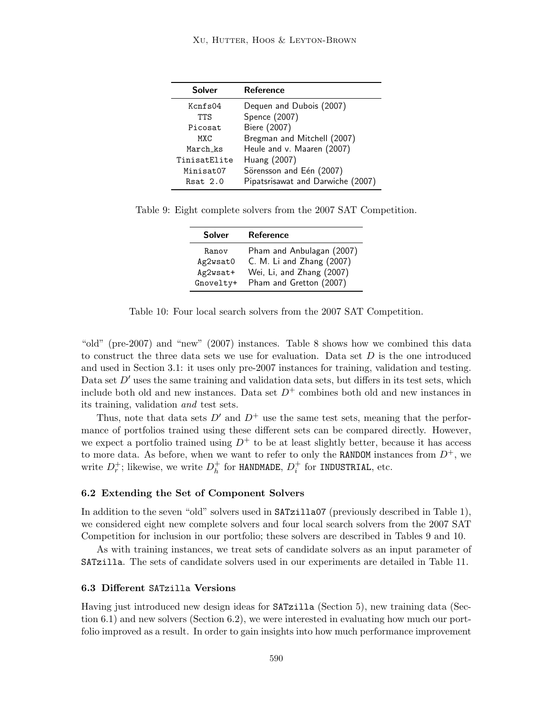| <b>Solver</b> | <b>Reference</b>                  |
|---------------|-----------------------------------|
| Kcnfs04       | Dequen and Dubois (2007)          |
| <b>TTS</b>    | Spence (2007)                     |
| Picosat       | Biere (2007)                      |
| MXC           | Bregman and Mitchell (2007)       |
| March ks      | Heule and v. Maaren (2007)        |
| TinisatElite  | Huang (2007)                      |
| Minisat07     | Sörensson and Eén (2007)          |
| $R$ sat $2.0$ | Pipatsrisawat and Darwiche (2007) |
|               |                                   |

Table 9: Eight complete solvers from the 2007 SAT Competition.

| <b>Solver</b> | <b>Reference</b>          |
|---------------|---------------------------|
| Ranov         | Pham and Anbulagan (2007) |
| Ag2wsat0      | C. M. Li and Zhang (2007) |
| Ag2wsat+      | Wei, Li, and Zhang (2007) |
| Gnovelty+     | Pham and Gretton (2007)   |

Table 10: Four local search solvers from the 2007 SAT Competition.

"old" (pre-2007) and "new" (2007) instances. Table 8 shows how we combined this data to construct the three data sets we use for evaluation. Data set  $D$  is the one introduced and used in Section 3.1: it uses only pre-2007 instances for training, validation and testing. Data set  $D'$  uses the same training and validation data sets, but differs in its test sets, which include both old and new instances. Data set  $D^+$  combines both old and new instances in its training, validation and test sets.

Thus, note that data sets  $D'$  and  $D^+$  use the same test sets, meaning that the performance of portfolios trained using these different sets can be compared directly. However, we expect a portfolio trained using  $D^+$  to be at least slightly better, because it has access to more data. As before, when we want to refer to only the RANDOM instances from  $D^+$ , we write  $D_r^+$ ; likewise, we write  $D_h^+$  $_h^+$  for HANDMADE,  $D_i^+$  for INDUSTRIAL, etc.

# 6.2 Extending the Set of Component Solvers

In addition to the seven "old" solvers used in SATzilla07 (previously described in Table 1), we considered eight new complete solvers and four local search solvers from the 2007 SAT Competition for inclusion in our portfolio; these solvers are described in Tables 9 and 10.

As with training instances, we treat sets of candidate solvers as an input parameter of SATzilla. The sets of candidate solvers used in our experiments are detailed in Table 11.

### 6.3 Different SATzilla Versions

Having just introduced new design ideas for SATzilla (Section 5), new training data (Section 6.1) and new solvers (Section 6.2), we were interested in evaluating how much our portfolio improved as a result. In order to gain insights into how much performance improvement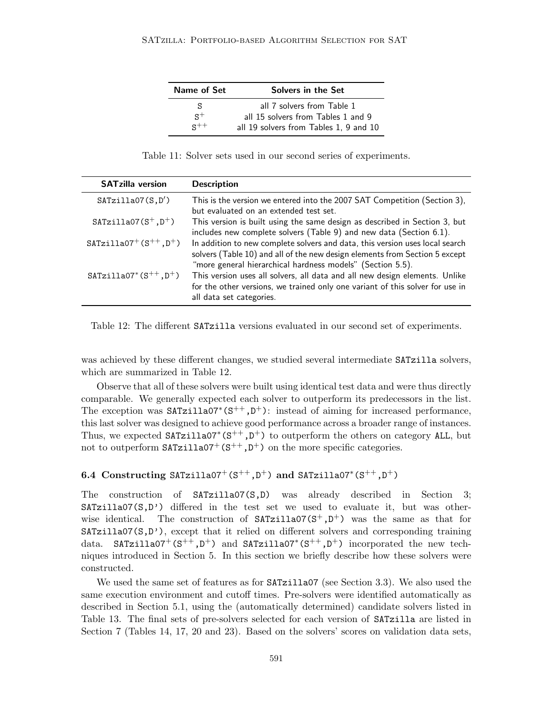| Name of Set | Solvers in the Set                     |
|-------------|----------------------------------------|
| S           | all 7 solvers from Table 1             |
| $S^+$       | all 15 solvers from Tables 1 and 9     |
| $S^{++}$    | all 19 solvers from Tables 1, 9 and 10 |

Table 11: Solver sets used in our second series of experiments.

| <b>SATzilla version</b>      | <b>Description</b>                                                                                                                                                                                                        |
|------------------------------|---------------------------------------------------------------------------------------------------------------------------------------------------------------------------------------------------------------------------|
| SATzilla07(S, D')            | This is the version we entered into the 2007 SAT Competition (Section 3),<br>but evaluated on an extended test set.                                                                                                       |
| $SATzilla07(S^+,D^+)$        | This version is built using the same design as described in Section 3, but<br>includes new complete solvers (Table 9) and new data (Section 6.1).                                                                         |
| $SATzillao7^+(S^{++},D^{+})$ | In addition to new complete solvers and data, this version uses local search<br>solvers (Table 10) and all of the new design elements from Section 5 except<br>"more general hierarchical hardness models" (Section 5.5). |
| $SATzillao7*(S^{++}, D^{+})$ | This version uses all solvers, all data and all new design elements. Unlike<br>for the other versions, we trained only one variant of this solver for use in<br>all data set categories.                                  |

Table 12: The different SATzilla versions evaluated in our second set of experiments.

was achieved by these different changes, we studied several intermediate **SATzilla** solvers, which are summarized in Table 12.

Observe that all of these solvers were built using identical test data and were thus directly comparable. We generally expected each solver to outperform its predecessors in the list. The exception was  $SATzilla07*(S^{++}, D^+)$ : instead of aiming for increased performance, this last solver was designed to achieve good performance across a broader range of instances. Thus, we expected  $SATzilla07*(S^{++}, D^+)$  to outperform the others on category ALL, but not to outperform  $SATzillao7^+(S^{++},D^+)$  on the more specific categories.

# 6.4 Constructing SATzilla07<sup>+</sup>(S<sup>++</sup>,D<sup>+</sup>) and SATzilla07<sup>\*</sup>(S<sup>++</sup>,D<sup>+</sup>)

The construction of SATzilla07(S,D) was already described in Section 3; SATzilla07(S,D') differed in the test set we used to evaluate it, but was otherwise identical. The construction of  $SATzilla07(S^+,D^+)$  was the same as that for  $SATzilla07(S, D')$ , except that it relied on different solvers and corresponding training data. SATzilla07<sup>+</sup>(S<sup>++</sup>,D<sup>+</sup>) and SATzilla07<sup>\*</sup>(S<sup>++</sup>,D<sup>+</sup>) incorporated the new techniques introduced in Section 5. In this section we briefly describe how these solvers were constructed.

We used the same set of features as for **SATzilla07** (see Section 3.3). We also used the same execution environment and cutoff times. Pre-solvers were identified automatically as described in Section 5.1, using the (automatically determined) candidate solvers listed in Table 13. The final sets of pre-solvers selected for each version of SATzilla are listed in Section 7 (Tables 14, 17, 20 and 23). Based on the solvers' scores on validation data sets,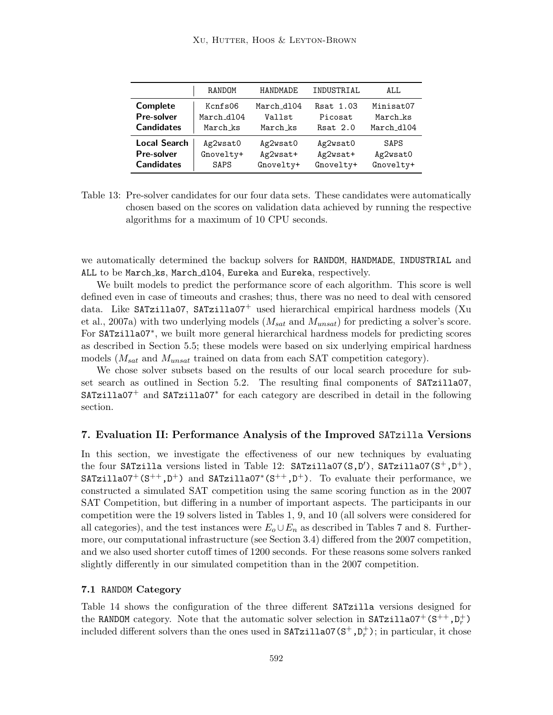|                     | RANDOM     | HANDMADE   | INDUSTRIAL | ALL         |
|---------------------|------------|------------|------------|-------------|
| <b>Complete</b>     | Kcnfs06    | March_d104 | Rsat 1.03  | Minisat07   |
| Pre-solver          | March_d104 | Vallst     | Picosat    | March ks    |
| <b>Candidates</b>   | March ks   | March ks   | $Rsat$ 2.0 | March_d104  |
| <b>Local Search</b> | Ag2wsat0   | Ag2wsat0   | Ag2wsat0   | <b>SAPS</b> |
| <b>Pre-solver</b>   | Gnovelty+  | Ag2wsat+   | Ag2wsat+   | Ag2wsat0    |
| <b>Candidates</b>   | SAPS       | Gnovelty+  | Gnovelty+  | Gnovelty+   |

Table 13: Pre-solver candidates for our four data sets. These candidates were automatically chosen based on the scores on validation data achieved by running the respective algorithms for a maximum of 10 CPU seconds.

we automatically determined the backup solvers for RANDOM, HANDMADE, INDUSTRIAL and ALL to be March ks, March dl04, Eureka and Eureka, respectively.

We built models to predict the performance score of each algorithm. This score is well defined even in case of timeouts and crashes; thus, there was no need to deal with censored data. Like SATzilla07, SATzilla07<sup>+</sup> used hierarchical empirical hardness models (Xu et al., 2007a) with two underlying models  $(M_{sat}$  and  $M_{unsat})$  for predicting a solver's score. For SATzilla07<sup>∗</sup> , we built more general hierarchical hardness models for predicting scores as described in Section 5.5; these models were based on six underlying empirical hardness models  $(M_{sat}$  and  $M_{unsat}$  trained on data from each SAT competition category).

We chose solver subsets based on the results of our local search procedure for subset search as outlined in Section 5.2. The resulting final components of SATzilla07, SATzilla07<sup>+</sup> and SATzilla07<sup>\*</sup> for each category are described in detail in the following section.

# 7. Evaluation II: Performance Analysis of the Improved SATzilla Versions

In this section, we investigate the effectiveness of our new techniques by evaluating the four SATzilla versions listed in Table 12:  $SATzilla07(S, D')$ ,  $SATzilla07(S<sup>+</sup>, D<sup>+</sup>)$ , SATzilla07<sup>+</sup>(S<sup>++</sup>,D<sup>+</sup>) and SATzilla07<sup>\*</sup>(S<sup>++</sup>,D<sup>+</sup>). To evaluate their performance, we constructed a simulated SAT competition using the same scoring function as in the 2007 SAT Competition, but differing in a number of important aspects. The participants in our competition were the 19 solvers listed in Tables 1, 9, and 10 (all solvers were considered for all categories), and the test instances were  $E_o \cup E_n$  as described in Tables 7 and 8. Furthermore, our computational infrastructure (see Section 3.4) differed from the 2007 competition, and we also used shorter cutoff times of 1200 seconds. For these reasons some solvers ranked slightly differently in our simulated competition than in the 2007 competition.

# 7.1 RANDOM Category

Table 14 shows the configuration of the three different SATzilla versions designed for the RANDOM category. Note that the automatic solver selection in  $\texttt{SATzilla07}^+(S^{++}, D_r^+)$ included different solvers than the ones used in  $\texttt{SATzilla07}(S^+, D_r^+)$ ; in particular, it chose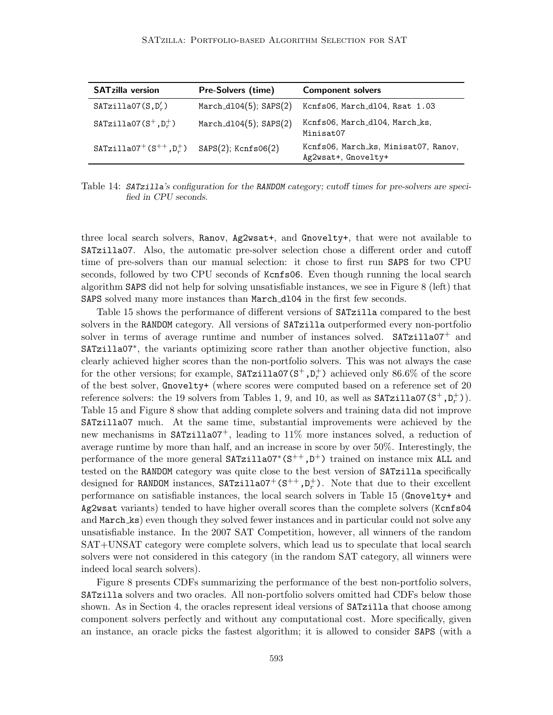| <b>SATzilla version</b>      | <b>Pre-Solvers (time)</b>     | <b>Component solvers</b>                                    |
|------------------------------|-------------------------------|-------------------------------------------------------------|
| $SATzilla07(S, D'_r)$        | March_dl $04(5)$ ; SAPS $(2)$ | Kcnfs06, March_d104, Rsat 1.03                              |
| $SATzilla07(S^+,D_r^+)$      | March_dl $04(5)$ ; SAPS $(2)$ | Kcnfs06, March_d104, March_ks,<br>Minisat07                 |
| $SATzillao7^+(S^{++},D_r^+)$ | $SAPS(2)$ ; $Kcnfs06(2)$      | Kcnfs06, March_ks, Minisat07, Ranov,<br>Ag2wsat+, Gnovelty+ |

Table 14: SATzilla's configuration for the RANDOM category; cutoff times for pre-solvers are specified in CPU seconds.

three local search solvers, Ranov, Ag2wsat+, and Gnovelty+, that were not available to SATzilla07. Also, the automatic pre-solver selection chose a different order and cutoff time of pre-solvers than our manual selection: it chose to first run SAPS for two CPU seconds, followed by two CPU seconds of Kcnfs06. Even though running the local search algorithm SAPS did not help for solving unsatisfiable instances, we see in Figure 8 (left) that SAPS solved many more instances than March dl04 in the first few seconds.

Table 15 shows the performance of different versions of SATzilla compared to the best solvers in the RANDOM category. All versions of SATzilla outperformed every non-portfolio solver in terms of average runtime and number of instances solved.  $SATzilla07<sup>+</sup>$  and SATzilla07<sup>\*</sup>, the variants optimizing score rather than another objective function, also clearly achieved higher scores than the non-portfolio solvers. This was not always the case for the other versions; for example,  $\texttt{SATzilla07}(S^+, D_r^+)$  achieved only 86.6% of the score of the best solver, Gnovelty+ (where scores were computed based on a reference set of 20 reference solvers: the 19 solvers from Tables 1, 9, and 10, as well as  $\text{SATzilla07}(S^+, D_r^+)$ . Table 15 and Figure 8 show that adding complete solvers and training data did not improve SATzilla07 much. At the same time, substantial improvements were achieved by the new mechanisms in SATzilla07<sup>+</sup>, leading to 11% more instances solved, a reduction of average runtime by more than half, and an increase in score by over 50%. Interestingly, the performance of the more general SATzilla07<sup>\*</sup>(S<sup>++</sup>,D<sup>+</sup>) trained on instance mix ALL and tested on the RANDOM category was quite close to the best version of SATzilla specifically designed for RANDOM instances,  $SATzillao7^+(S^{++}, D_r^+)$ . Note that due to their excellent performance on satisfiable instances, the local search solvers in Table 15 (Gnovelty+ and Ag2wsat variants) tended to have higher overall scores than the complete solvers (Kcnfs04 and March ks) even though they solved fewer instances and in particular could not solve any unsatisfiable instance. In the 2007 SAT Competition, however, all winners of the random SAT+UNSAT category were complete solvers, which lead us to speculate that local search solvers were not considered in this category (in the random SAT category, all winners were indeed local search solvers).

Figure 8 presents CDFs summarizing the performance of the best non-portfolio solvers, SATzilla solvers and two oracles. All non-portfolio solvers omitted had CDFs below those shown. As in Section 4, the oracles represent ideal versions of SATzilla that choose among component solvers perfectly and without any computational cost. More specifically, given an instance, an oracle picks the fastest algorithm; it is allowed to consider SAPS (with a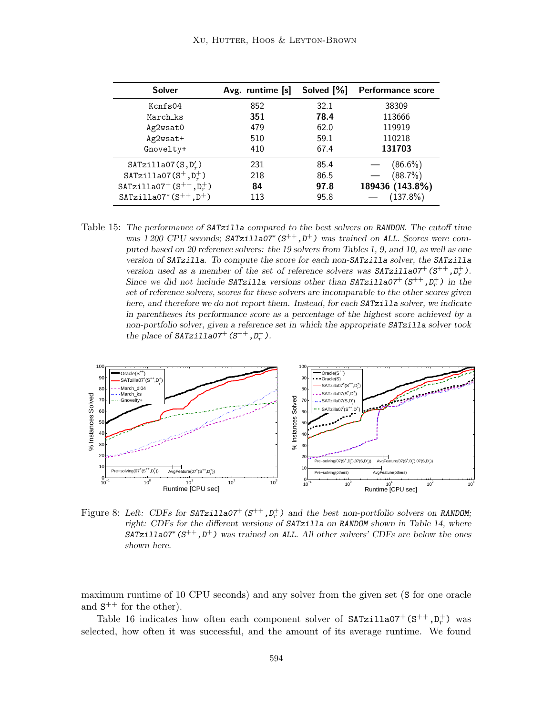| <b>Solver</b>                       | Avg. runtime [s] | Solved [%] | <b>Performance score</b>            |
|-------------------------------------|------------------|------------|-------------------------------------|
| Kcnfs04                             | 852              | 32.1       | 38309                               |
| March ks                            | 351              | 78.4       | 113666                              |
| Ag2wsat0                            | 479              | 62.0       | 119919                              |
| Ag2wsat+                            | 510              | 59.1       | 110218                              |
| Gnovelty+                           | 410              | 67.4       | 131703                              |
| $SATzilla07(S, D'_r)$               | 231              | 85.4       | $(86.6\%)$                          |
| $SATzillao7(S^+,D_r^+)$             | 218              | 86.5       | (88.7%)<br>$\overline{\phantom{m}}$ |
| $SATzillao7^{+}(S^{++}, D^{+}_{r})$ | 84               | 97.8       | 189436 (143.8%)                     |
| $SATzilla07*(S^{++}, D^{+})$        | 113              | 95.8       | $(137.8\%)$                         |

Table 15: The performance of SATzilla compared to the best solvers on RANDOM. The cutoff time was 1 200 CPU seconds;  $SATzillao7*(S^{++}, D^+)$  was trained on ALL. Scores were computed based on 20 reference solvers: the 19 solvers from Tables 1, 9, and 10, as well as one version of SATzilla. To compute the score for each non-SATzilla solver, the SATzilla version used as a member of the set of reference solvers was  $SATzilla07^+(S^{++}, D_r^+)$ . Since we did not include SATzilla versions other than SATzilla07<sup>+</sup> (S<sup>++</sup>,  $D_r^+$ ) in the set of reference solvers, scores for these solvers are incomparable to the other scores given here, and therefore we do not report them. Instead, for each SATzilla solver, we indicate in parentheses its performance score as a percentage of the highest score achieved by a non-portfolio solver, given a reference set in which the appropriate SATzilla solver took the place of  $SATzilla07^+(S^{++}, D_r^+)$ .



Figure 8: Left: CDFs for  $SATzilla07^+(S^{++}, D_r^+)$  and the best non-portfolio solvers on RANDOM; right: CDFs for the different versions of SATzilla on RANDOM shown in Table 14, where SATzilla07<sup>∗</sup>(S<sup>++</sup>,D<sup>+</sup>) was trained on ALL. All other solvers' CDFs are below the ones shown here.

maximum runtime of 10 CPU seconds) and any solver from the given set (S for one oracle and  $S^{++}$  for the other).

Table 16 indicates how often each component solver of  $SATzilla07^+(S^{++}, D_r^+)$  was selected, how often it was successful, and the amount of its average runtime. We found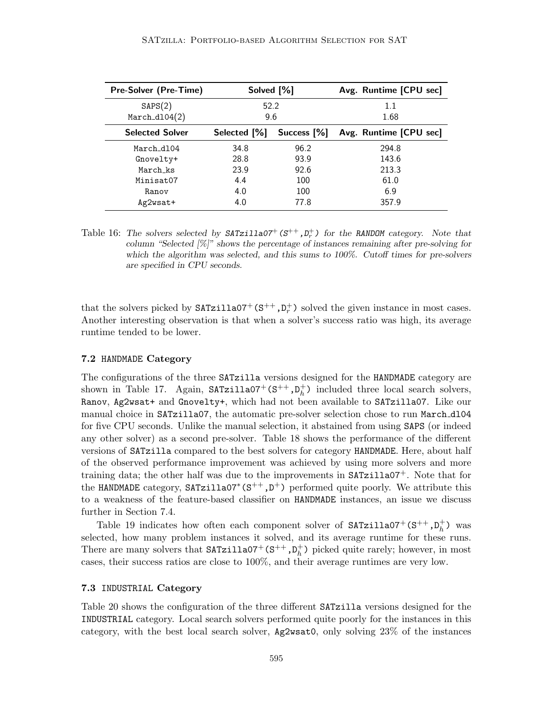### SATzilla: Portfolio-based Algorithm Selection for SAT

| <b>Pre-Solver (Pre-Time)</b> | Solved [%]   |             | Avg. Runtime [CPU sec] |
|------------------------------|--------------|-------------|------------------------|
| SAPS(2)<br>$March_d104(2)$   | 52.2<br>9.6  |             | 1.1<br>1.68            |
| <b>Selected Solver</b>       | Selected [%] | Success [%] | Avg. Runtime [CPU sec] |
| March_d104                   | 34.8         | 96.2        | 294.8                  |
| Gnovelty+                    | 28.8         | 93.9        | 143.6                  |
| March ks                     | 23.9         | 92.6        | 213.3                  |
| Minisat07                    | 4.4          | 100         | 61.0                   |
| Ranov                        | 4.0          | 100         | 6.9                    |
| Ag2wsat+                     | 4.0          | 77.8        | 357.9                  |

Table 16: The solvers selected by  $\text{SATzilla07}^+ (S^{++}, D_r^+)$  for the RANDOM category. Note that column "Selected [%]" shows the percentage of instances remaining after pre-solving for which the algorithm was selected, and this sums to 100%. Cutoff times for pre-solvers are specified in CPU seconds.

that the solvers picked by  $\texttt{SATzilla07}^+(S^{++}, D_r^+)$  solved the given instance in most cases. Another interesting observation is that when a solver's success ratio was high, its average runtime tended to be lower.

# 7.2 HANDMADE Category

The configurations of the three SATzilla versions designed for the HANDMADE category are shown in Table 17. Again,  $SATzilla07^+(S^{++}, D_h^+)$  included three local search solvers, Ranov, Ag2wsat+ and Gnovelty+, which had not been available to SATzilla07. Like our manual choice in SATzilla07, the automatic pre-solver selection chose to run March dl04 for five CPU seconds. Unlike the manual selection, it abstained from using SAPS (or indeed any other solver) as a second pre-solver. Table 18 shows the performance of the different versions of SATzilla compared to the best solvers for category HANDMADE. Here, about half of the observed performance improvement was achieved by using more solvers and more training data; the other half was due to the improvements in  $SATzilla07<sup>+</sup>$ . Note that for the HANDMADE category, SATzilla07<sup>\*</sup>(S<sup>++</sup>,D<sup>+</sup>) performed quite poorly. We attribute this to a weakness of the feature-based classifier on HANDMADE instances, an issue we discuss further in Section 7.4.

Table 19 indicates how often each component solver of  $SATzilla07^+(S^{++}, D_h^+)$  was selected, how many problem instances it solved, and its average runtime for these runs. There are many solvers that  $\text{SATzilla07}^+(S^{++}, D_h^+)$  picked quite rarely; however, in most cases, their success ratios are close to 100%, and their average runtimes are very low.

### 7.3 INDUSTRIAL Category

Table 20 shows the configuration of the three different SATzilla versions designed for the INDUSTRIAL category. Local search solvers performed quite poorly for the instances in this category, with the best local search solver, Ag2wsat0, only solving 23% of the instances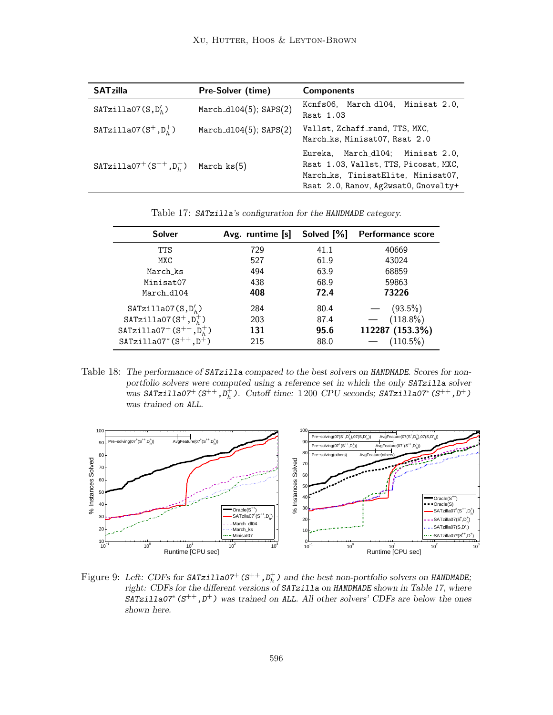| <b>SATzilla</b>                | Pre-Solver (time)             | <b>Components</b>                                                                                                                                          |
|--------------------------------|-------------------------------|------------------------------------------------------------------------------------------------------------------------------------------------------------|
| $SATzillao7(S, D'_h)$          | March_dl $04(5)$ ; SAPS $(2)$ | Minisat 2.0.<br>Kcnfs06, March_d104,<br>Rsat 1.03                                                                                                          |
| $SATzilla07(S^+,D_k^+)$        | $March_d104(5); SAPS(2)$      | Vallst, Zchaff_rand, TTS, MXC,<br>March_ks, Minisat07, Rsat 2.0                                                                                            |
| SATzilla $07^+(S^{++}, D_h^+)$ | $March_ks(5)$                 | March_d104; Minisat 2.0,<br>Eureka.<br>Rsat 1.03, Vallst, TTS, Picosat, MXC,<br>March_ks, TinisatElite, Minisat07,<br>Rsat 2.0, Ranov, Ag2wsat0, Gnovelty+ |

| <b>Solver</b>                                        | Avg. runtime [s] | Solved [%] | Performance score                       |
|------------------------------------------------------|------------------|------------|-----------------------------------------|
| <b>TTS</b>                                           | 729              | 41.1       | 40669                                   |
| MXC                                                  | 527              | 61.9       | 43024                                   |
| March_ks                                             | 494              | 63.9       | 68859                                   |
| Minisat07                                            | 438              | 68.9       | 59863                                   |
| March d104                                           | 408              | 72.4       | 73226                                   |
| $\texttt{SATzilla07}(S, D'_h)$                       | 284              | 80.4       | $(93.5\%)$                              |
| $SATzilla07(S^+,D_h^+)$                              | 203              | 87.4       | $(118.8\%)$<br>$\overline{\phantom{m}}$ |
| SATzilla07 <sup>+</sup> (S <sup>++</sup> , $D_h^+$ ) | 131              | 95.6       | 112287 (153.3%)                         |
| $SATzilla07*(S^{++},D^{+})$                          | 215              | 88.0       | $(110.5\%)$                             |

Table 17: SATzilla's configuration for the HANDMADE category.

Table 18: The performance of SATzilla compared to the best solvers on HANDMADE. Scores for nonportfolio solvers were computed using a reference set in which the only SATzilla solver was SATzilla07<sup>+</sup> (S<sup>++</sup>, $D_h^+$ ). Cutoff time: 1200 CPU seconds; SATzilla07<sup>\*</sup> (S<sup>++</sup>, $D^+$ ) was trained on ALL.



Figure 9: Left: CDFs for  $\text{SATzilla07}^+(S^{++}, D_h^+)$  and the best non-portfolio solvers on HANDMADE; right: CDFs for the different versions of SATzilla on HANDMADE shown in Table 17, where SATzilla07<sup>\*</sup> (S<sup>++</sup>,D<sup>+</sup>) was trained on ALL. All other solvers' CDFs are below the ones shown here.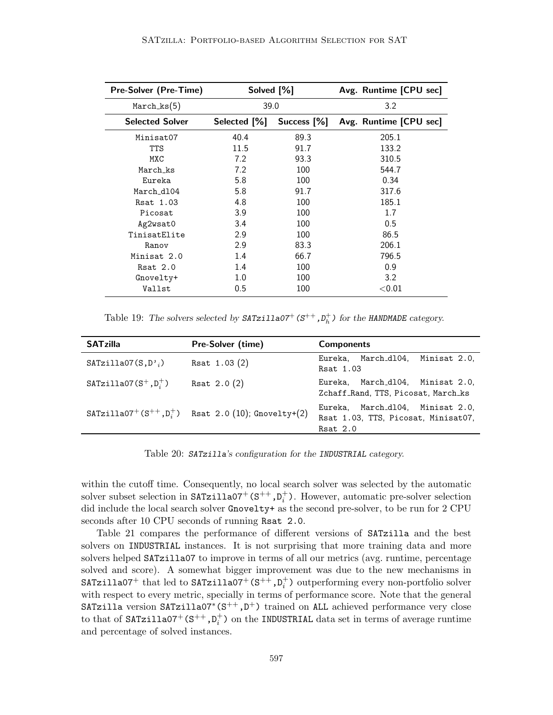| <b>Pre-Solver (Pre-Time)</b> | Solved [%]   |                | Avg. Runtime [CPU sec] |
|------------------------------|--------------|----------------|------------------------|
| $March_ks(5)$                | 39.0         |                | 3.2                    |
| <b>Selected Solver</b>       | Selected [%] | Success $[\%]$ | Avg. Runtime [CPU sec] |
| Minisat07                    | 40.4         | 89.3           | 205.1                  |
| TTS                          | 11.5         | 91.7           | 133.2                  |
| MXC                          | 7.2          | 93.3           | 310.5                  |
| March ks                     | 7.2          | 100            | 544.7                  |
| Eureka                       | 5.8          | 100            | 0.34                   |
| March d104                   | 5.8          | 91.7           | 317.6                  |
| Rsat 1.03                    | 4.8          | 100            | 185.1                  |
| Picosat                      | 3.9          | 100            | 1.7                    |
| Ag2wsat0                     | 3.4          | 100            | 0.5                    |
| TinisatElite                 | 2.9          | 100            | 86.5                   |
| Ranov                        | 2.9          | 83.3           | 206.1                  |
| Minisat 2.0                  | 1.4          | 66.7           | 796.5                  |
| $R$ sat $2.0$                | 1.4          | 100            | 0.9                    |
| Gnovelty+                    | 1.0          | 100            | 3.2                    |
| Vallst                       | 0.5          | 100            | $<$ 0.01               |

Table 19: The solvers selected by  $\text{SATzilla07}^+ (S^{++}, D_h^+)$  for the HANDMADE category.

| <b>SATzilla</b>                                          | <b>Pre-Solver (time)</b>      | <b>Components</b>                                                                           |
|----------------------------------------------------------|-------------------------------|---------------------------------------------------------------------------------------------|
| SATzilla07(S, D',)                                       | Rsat 1.03 (2)                 | Minisat 2.0.<br>March_d104,<br>Eureka,<br>Rsat 1.03                                         |
| $SATzillao7(S^+,D^+_i)$                                  | Rsat 2.0(2)                   | Eureka, March_d104, Minisat 2.0,<br>Zchaff_Rand, TTS, Picosat, March_ks                     |
| $\texttt{SATzilla07}^+(\texttt{S}^{++}, \texttt{D}_i^+)$ | Rsat $2.0$ (10); Gnovelty+(2) | March_d104, Minisat 2.0,<br>Eureka.<br>Rsat 1.03, TTS, Picosat, Minisat07,<br>$R$ sat $2.0$ |

Table 20: SATzilla's configuration for the INDUSTRIAL category.

within the cutoff time. Consequently, no local search solver was selected by the automatic solver subset selection in  $\texttt{SATzilla07}^+(S^{++}, D_i^+)$ . However, automatic pre-solver selection did include the local search solver Gnovelty+ as the second pre-solver, to be run for 2 CPU seconds after 10 CPU seconds of running Rsat 2.0.

Table 21 compares the performance of different versions of SATzilla and the best solvers on INDUSTRIAL instances. It is not surprising that more training data and more solvers helped SATzilla07 to improve in terms of all our metrics (avg. runtime, percentage solved and score). A somewhat bigger improvement was due to the new mechanisms in  $\texttt{SATzilla07}^+$  that led to  $\texttt{SATzilla07}^+(\texttt{S}^{++}, \texttt{D}_i^+)$  outperforming every non-portfolio solver with respect to every metric, specially in terms of performance score. Note that the general SATzilla version SATzilla07<sup>\*</sup>(S<sup>++</sup>,D<sup>+</sup>) trained on ALL achieved performance very close to that of  $\texttt{SATzilla07}^+(S^{++}, D_i^+)$  on the INDUSTRIAL data set in terms of average runtime and percentage of solved instances.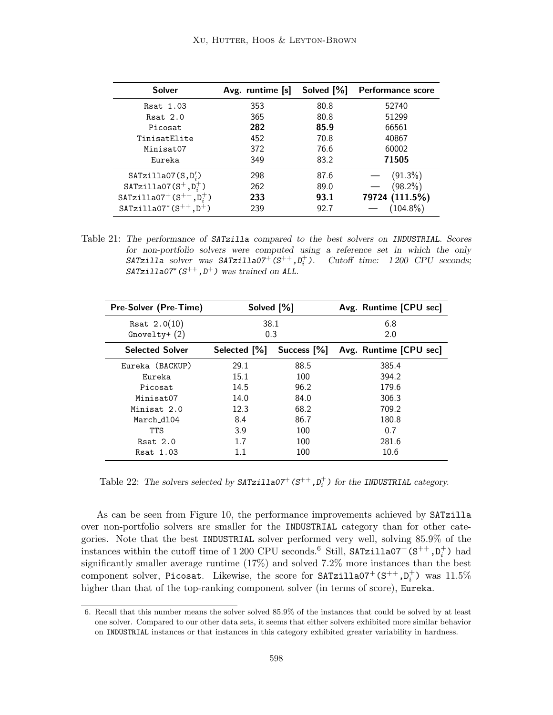| <b>Solver</b>                                        | Avg. runtime $[s]$ | Solved [%] | <b>Performance score</b> |
|------------------------------------------------------|--------------------|------------|--------------------------|
| Rsat 1.03                                            | 353                | 80.8       | 52740                    |
| $R$ sat $2.0$                                        | 365                | 80.8       | 51299                    |
| Picosat                                              | 282                | 85.9       | 66561                    |
| TinisatElite                                         | 452                | 70.8       | 40867                    |
| Minisat07                                            | 372                | 76.6       | 60002                    |
| Eureka                                               | 349                | 83.2       | 71505                    |
| $SATzillao7(S, D'_i)$                                | 298                | 87.6       | $(91.3\%)$               |
| $SATzillao7(S^+,D^+_i)$                              | 262                | 89.0       | $(98.2\%)$               |
| SATzilla07 <sup>+</sup> (S <sup>++</sup> , $D_i^+$ ) | 233                | 93.1       | 79724 (111.5%)           |
| $SATzillao7*(S^{++}, D^{+})$                         | 239                | 92.7       | $(104.8\%)$              |

Table 21: The performance of SATzilla compared to the best solvers on INDUSTRIAL. Scores for non-portfolio solvers were computed using a reference set in which the only SATzilla solver was  $SATzilla07^+(S^{++}, D_i^+)$ . Cutoff time: 1200 CPU seconds; SATzilla07<sup>\*</sup>  $(S^{++}, D^+)$  was trained on ALL.

| <b>Pre-Solver (Pre-Time)</b> | Solved [%]   |             | Avg. Runtime [CPU sec] |
|------------------------------|--------------|-------------|------------------------|
| Rsat 2.0(10)                 | 38.1         |             | 6.8                    |
| Gnovelty+ $(2)$              | 0.3          |             | 2.0                    |
| <b>Selected Solver</b>       | Selected [%] | Success [%] | Avg. Runtime [CPU sec] |
| Eureka (BACKUP)              | 29.1         | 88.5        | 385.4                  |
| Eureka                       | 15.1         | 100         | 394.2                  |
| Picosat                      | 14.5         | 96.2        | 179.6                  |
| Minisat07                    | 14.0         | 84.0        | 306.3                  |
| Minisat 2.0                  | 12.3         | 68.2        | 709.2                  |
| March d104                   | 8.4          | 86.7        | 180.8                  |
| <b>TTS</b>                   | 3.9          | 100         | 0.7                    |
| $R$ sat $2.0$                | 1.7          | 100         | 281.6                  |
| Rsat 1.03                    | 1.1          | 100         | 10.6                   |

Table 22: The solvers selected by  $\text{SATzilla07}^+ (S^{++}, D_i^+)$  for the INDUSTRIAL category.

As can be seen from Figure 10, the performance improvements achieved by SATzilla over non-portfolio solvers are smaller for the INDUSTRIAL category than for other categories. Note that the best INDUSTRIAL solver performed very well, solving 85.9% of the instances within the cutoff time of  $1\,200$  CPU seconds.<sup>6</sup> Still,  $\texttt{SATzilla07}^+(S^{++}, D^+_i)$  had significantly smaller average runtime (17%) and solved 7.2% more instances than the best component solver, Picosat. Likewise, the score for  $\texttt{SATzilla07}^+(S^{++}, D_i^+)$  was  $11.5\%$ higher than that of the top-ranking component solver (in terms of score), Eureka.

<sup>6.</sup> Recall that this number means the solver solved 85.9% of the instances that could be solved by at least one solver. Compared to our other data sets, it seems that either solvers exhibited more similar behavior on INDUSTRIAL instances or that instances in this category exhibited greater variability in hardness.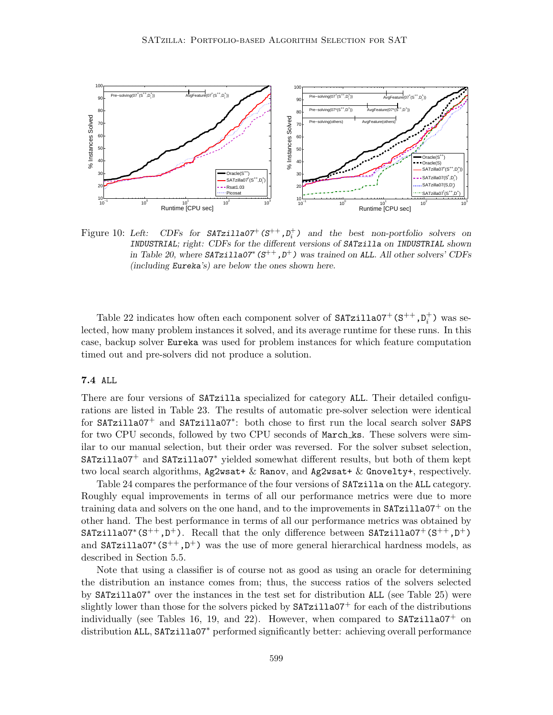

Figure 10: Left: CDFs for  $SATzilla07+(S^{++}, D_i^+)$  and the best non-portfolio solvers on INDUSTRIAL; right: CDFs for the different versions of SATzilla on INDUSTRIAL shown in Table 20, where  $\text{SATzillao7}^*(S^{++}, D^+)$  was trained on ALL. All other solvers' CDFs (including Eureka's) are below the ones shown here.

Table 22 indicates how often each component solver of  $\texttt{SATzilla07}^+(S^{++}, D_i^+)$  was selected, how many problem instances it solved, and its average runtime for these runs. In this case, backup solver Eureka was used for problem instances for which feature computation timed out and pre-solvers did not produce a solution.

# 7.4 ALL

There are four versions of SATzilla specialized for category ALL. Their detailed configurations are listed in Table 23. The results of automatic pre-solver selection were identical for SATzilla07<sup>+</sup> and SATzilla07<sup>∗</sup> : both chose to first run the local search solver SAPS for two CPU seconds, followed by two CPU seconds of March ks. These solvers were similar to our manual selection, but their order was reversed. For the solver subset selection, SATzilla07<sup>+</sup> and SATzilla07<sup>∗</sup> yielded somewhat different results, but both of them kept two local search algorithms,  $Ag2wsat+ \& Ranov$ , and  $Ag2wsat+ \& Gnovelty+$ , respectively.

Table 24 compares the performance of the four versions of SATzilla on the ALL category. Roughly equal improvements in terms of all our performance metrics were due to more training data and solvers on the one hand, and to the improvements in  $SATzillao7^+$  on the other hand. The best performance in terms of all our performance metrics was obtained by SATzilla07<sup>∗</sup>(S<sup>++</sup>,D<sup>+</sup>). Recall that the only difference between SATzilla07<sup>+</sup>(S<sup>++</sup>,D<sup>+</sup>) and  $SATzilla07*(S^{++}, D^+)$  was the use of more general hierarchical hardness models, as described in Section 5.5.

Note that using a classifier is of course not as good as using an oracle for determining the distribution an instance comes from; thus, the success ratios of the solvers selected by SATzilla07<sup>∗</sup> over the instances in the test set for distribution ALL (see Table 25) were slightly lower than those for the solvers picked by  $\text{SATzilla07}^+$  for each of the distributions individually (see Tables 16, 19, and 22). However, when compared to  $SATzilla07<sup>+</sup>$  on distribution ALL, SATzilla07<sup>∗</sup> performed significantly better: achieving overall performance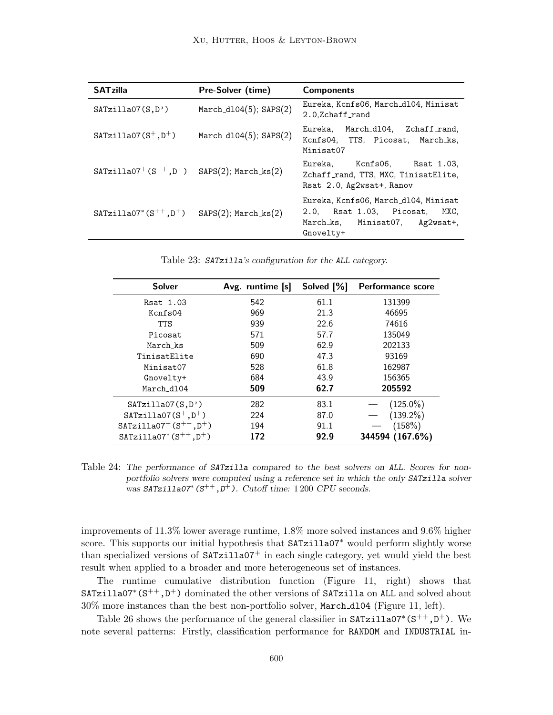| <b>SATzilla</b>             | <b>Pre-Solver (time)</b>      | <b>Components</b>                                                                                                       |
|-----------------------------|-------------------------------|-------------------------------------------------------------------------------------------------------------------------|
| SATzilla07(S,D')            | March_dl $04(5)$ ; SAPS $(2)$ | Eureka, Kcnfs06, March_d104, Minisat<br>2.0.Zchaff_rand                                                                 |
| $SATzillao7(S^+,D^+)$       | March_dl $04(5)$ ; SAPS $(2)$ | Eureka, March_d104, Zchaff_rand,<br>Kcnfs04, TTS, Picosat, March_ks,<br>Minisat07                                       |
| $SATzillao7^+(S^{++},D^+)$  | $SAPS(2)$ ; March $ks(2)$     | Eureka, Kcnfs06, Rsat 1.03,<br>Zchaff_rand, TTS, MXC, TinisatElite,<br>Rsat 2.0, Ag2wsat+, Ranov                        |
| $SATzillao7^*(S^{++}, D^+)$ | $SAPS(2)$ ; March $ks(2)$     | Eureka, Kcnfs06, March_d104, Minisat<br>2.0, Rsat 1.03, Picosat,<br>MXC.<br>March_ks, Minisat07, Ag2wsat+,<br>Gnovelty+ |

Table 23: SATzilla's configuration for the ALL category.

| <b>Solver</b>                | Avg. runtime [s] | Solved [%] | <b>Performance score</b> |
|------------------------------|------------------|------------|--------------------------|
| Rsat 1.03                    | 542              | 61.1       | 131399                   |
| Kcnfs04                      | 969              | 21.3       | 46695                    |
| <b>TTS</b>                   | 939              | 22.6       | 74616                    |
| Picosat                      | 571              | 57.7       | 135049                   |
| March ks                     | 509              | 62.9       | 202133                   |
| TinisatElite                 | 690              | 47.3       | 93169                    |
| Minisat07                    | 528              | 61.8       | 162987                   |
| Gnovelty+                    | 684              | 43.9       | 156365                   |
| March_d104                   | 509              | 62.7       | 205592                   |
| SATzilla07(S,D')             | 282              | 83.1       | $(125.0\%)$              |
| $SATzilla07(S^+,D^+)$        | 224              | 87.0       | $(139.2\%)$              |
| $SATzillao7^+(S^{++},D^{+})$ | 194              | 91.1       | (158%)                   |
| $SATzillao7*(S^{++}, D^{+})$ | 172              | 92.9       | 344594 (167.6%)          |

Table 24: The performance of SATzilla compared to the best solvers on ALL. Scores for nonportfolio solvers were computed using a reference set in which the only SATzilla solver was  $\texttt{SATzilla07}^*(S^{++}, D^+)$ . Cutoff time: 1200 CPU seconds.

improvements of 11.3% lower average runtime, 1.8% more solved instances and 9.6% higher score. This supports our initial hypothesis that SATzilla07<sup>∗</sup> would perform slightly worse than specialized versions of SATzilla07<sup>+</sup> in each single category, yet would yield the best result when applied to a broader and more heterogeneous set of instances.

The runtime cumulative distribution function (Figure 11, right) shows that SATzilla07<sup>∗</sup>(S<sup>++</sup>,D<sup>+</sup>) dominated the other versions of SATzilla on ALL and solved about 30% more instances than the best non-portfolio solver, March dl04 (Figure 11, left).

Table 26 shows the performance of the general classifier in  $SATzilla07*(S^{++}, D^+)$ . We note several patterns: Firstly, classification performance for RANDOM and INDUSTRIAL in-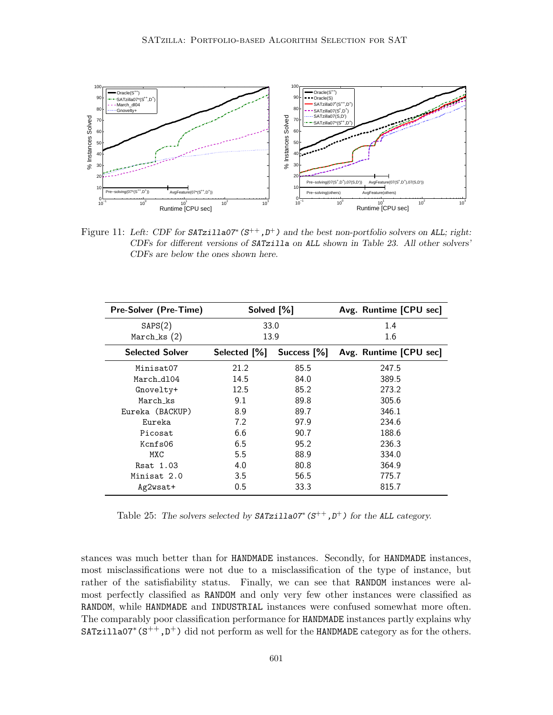

Figure 11: Left: CDF for  $SATzilla07*(S^{++}, D^+)$  and the best non-portfolio solvers on ALL; right: CDFs for different versions of SATzilla on ALL shown in Table 23. All other solvers' CDFs are below the ones shown here.

| <b>Pre-Solver (Pre-Time)</b> | Solved [%]   |             | Avg. Runtime [CPU sec] |  |  |
|------------------------------|--------------|-------------|------------------------|--|--|
| SAPS(2)                      | 33.0         |             | 1.4                    |  |  |
| $March_ks(2)$                | 13.9         |             | 1.6                    |  |  |
| <b>Selected Solver</b>       | Selected [%] | Success [%] | Avg. Runtime [CPU sec] |  |  |
| Minisat07                    | 21.2         | 85.5        | 247.5                  |  |  |
| March d104                   | 14.5         | 84.0        | 389.5                  |  |  |
| Gnovelty+                    | 12.5         | 85.2        | 273.2                  |  |  |
| March ks                     | 9.1          | 89.8        | 305.6                  |  |  |
| Eureka (BACKUP)              | 8.9          | 89.7        | 346.1                  |  |  |
| Eureka                       | 7.2          | 97.9        | 234.6                  |  |  |
| Picosat                      | 6.6          | 90.7        | 188.6                  |  |  |
| Kcnfs06                      | 6.5          | 95.2        | 236.3                  |  |  |
| MXC                          | 5.5          | 88.9        | 334.0                  |  |  |
| Rsat 1.03                    | 4.0          | 80.8        | 364.9                  |  |  |
| Minisat 2.0                  | 3.5          | 56.5        | 775.7                  |  |  |
| Ag2wsat+                     | 0.5          | 33.3        | 815.7                  |  |  |

Table 25: The solvers selected by  $\text{SATzilla07}^*(S^{++}, D^+)$  for the ALL category.

stances was much better than for HANDMADE instances. Secondly, for HANDMADE instances, most misclassifications were not due to a misclassification of the type of instance, but rather of the satisfiability status. Finally, we can see that RANDOM instances were almost perfectly classified as RANDOM and only very few other instances were classified as RANDOM, while HANDMADE and INDUSTRIAL instances were confused somewhat more often. The comparably poor classification performance for HANDMADE instances partly explains why SATzilla07<sup>\*</sup>(S<sup>++</sup>,D<sup>+</sup>) did not perform as well for the HANDMADE category as for the others.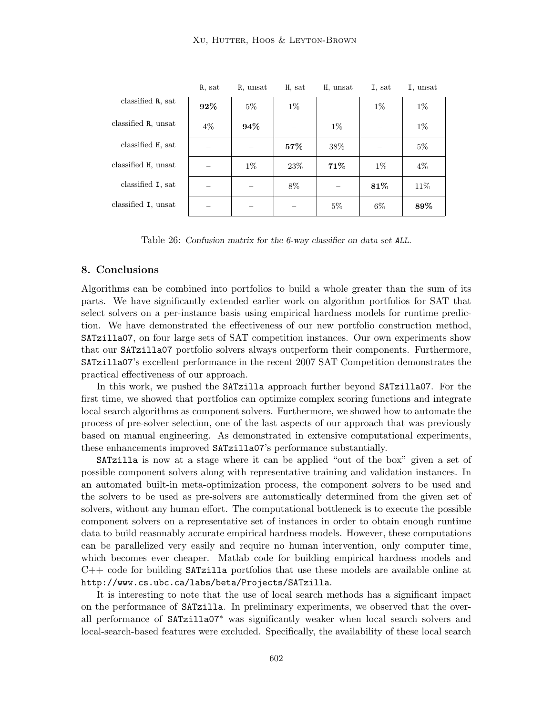|                     | R, sat | R, unsat | H, sat | H, unsat | I, sat | I, unsat |
|---------------------|--------|----------|--------|----------|--------|----------|
| classified R, sat   | $92\%$ | $5\%$    | $1\%$  |          | $1\%$  | $1\%$    |
| classified R, unsat | $4\%$  | 94%      |        | $1\%$    |        | $1\%$    |
| classified H, sat   |        |          | $57\%$ | 38%      |        | $5\%$    |
| classified H, unsat |        | $1\%$    | 23\%   | 71\%     | $1\%$  | $4\%$    |
| classified I, sat   |        |          | 8%     |          | 81\%   | $11\%$   |
| classified I, unsat |        |          |        | $5\%$    | $6\%$  | 89\%     |

Table 26: Confusion matrix for the 6-way classifier on data set ALL.

### 8. Conclusions

Algorithms can be combined into portfolios to build a whole greater than the sum of its parts. We have significantly extended earlier work on algorithm portfolios for SAT that select solvers on a per-instance basis using empirical hardness models for runtime prediction. We have demonstrated the effectiveness of our new portfolio construction method, SATzilla07, on four large sets of SAT competition instances. Our own experiments show that our SATzilla07 portfolio solvers always outperform their components. Furthermore, SATzilla07's excellent performance in the recent 2007 SAT Competition demonstrates the practical effectiveness of our approach.

In this work, we pushed the SATzilla approach further beyond SATzilla07. For the first time, we showed that portfolios can optimize complex scoring functions and integrate local search algorithms as component solvers. Furthermore, we showed how to automate the process of pre-solver selection, one of the last aspects of our approach that was previously based on manual engineering. As demonstrated in extensive computational experiments, these enhancements improved SATzilla07's performance substantially.

SATzilla is now at a stage where it can be applied "out of the box" given a set of possible component solvers along with representative training and validation instances. In an automated built-in meta-optimization process, the component solvers to be used and the solvers to be used as pre-solvers are automatically determined from the given set of solvers, without any human effort. The computational bottleneck is to execute the possible component solvers on a representative set of instances in order to obtain enough runtime data to build reasonably accurate empirical hardness models. However, these computations can be parallelized very easily and require no human intervention, only computer time, which becomes ever cheaper. Matlab code for building empirical hardness models and  $C++$  code for building SATzilla portfolios that use these models are available online at http://www.cs.ubc.ca/labs/beta/Projects/SATzilla.

It is interesting to note that the use of local search methods has a significant impact on the performance of SATzilla. In preliminary experiments, we observed that the overall performance of SATzilla07<sup>∗</sup> was significantly weaker when local search solvers and local-search-based features were excluded. Specifically, the availability of these local search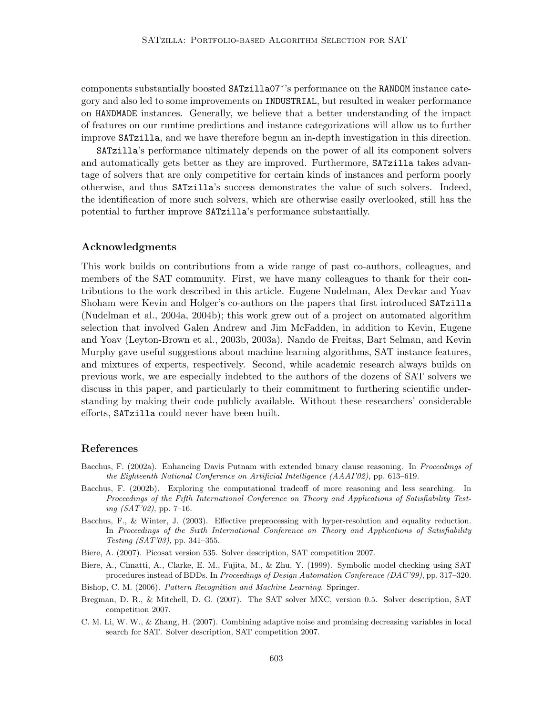components substantially boosted SATzilla07<sup>∗</sup> 's performance on the RANDOM instance category and also led to some improvements on INDUSTRIAL, but resulted in weaker performance on HANDMADE instances. Generally, we believe that a better understanding of the impact of features on our runtime predictions and instance categorizations will allow us to further improve SATzilla, and we have therefore begun an in-depth investigation in this direction.

SATzilla's performance ultimately depends on the power of all its component solvers and automatically gets better as they are improved. Furthermore, SATzilla takes advantage of solvers that are only competitive for certain kinds of instances and perform poorly otherwise, and thus SATzilla's success demonstrates the value of such solvers. Indeed, the identification of more such solvers, which are otherwise easily overlooked, still has the potential to further improve SATzilla's performance substantially.

### Acknowledgments

This work builds on contributions from a wide range of past co-authors, colleagues, and members of the SAT community. First, we have many colleagues to thank for their contributions to the work described in this article. Eugene Nudelman, Alex Devkar and Yoav Shoham were Kevin and Holger's co-authors on the papers that first introduced SATzilla (Nudelman et al., 2004a, 2004b); this work grew out of a project on automated algorithm selection that involved Galen Andrew and Jim McFadden, in addition to Kevin, Eugene and Yoav (Leyton-Brown et al., 2003b, 2003a). Nando de Freitas, Bart Selman, and Kevin Murphy gave useful suggestions about machine learning algorithms, SAT instance features, and mixtures of experts, respectively. Second, while academic research always builds on previous work, we are especially indebted to the authors of the dozens of SAT solvers we discuss in this paper, and particularly to their commitment to furthering scientific understanding by making their code publicly available. Without these researchers' considerable efforts, SATzilla could never have been built.

# References

- Bacchus, F. (2002a). Enhancing Davis Putnam with extended binary clause reasoning. In Proceedings of the Eighteenth National Conference on Artificial Intelligence (AAAI'02), pp. 613–619.
- Bacchus, F. (2002b). Exploring the computational tradeoff of more reasoning and less searching. In Proceedings of the Fifth International Conference on Theory and Applications of Satisfiability Testing (SAT'02), pp. 7–16.
- Bacchus, F., & Winter, J. (2003). Effective preprocessing with hyper-resolution and equality reduction. In Proceedings of the Sixth International Conference on Theory and Applications of Satisfiability Testing (SAT'03), pp. 341–355.
- Biere, A. (2007). Picosat version 535. Solver description, SAT competition 2007.
- Biere, A., Cimatti, A., Clarke, E. M., Fujita, M., & Zhu, Y. (1999). Symbolic model checking using SAT procedures instead of BDDs. In Proceedings of Design Automation Conference (DAC'99), pp. 317–320.
- Bishop, C. M. (2006). Pattern Recognition and Machine Learning. Springer.
- Bregman, D. R., & Mitchell, D. G. (2007). The SAT solver MXC, version 0.5. Solver description, SAT competition 2007.
- C. M. Li, W. W., & Zhang, H. (2007). Combining adaptive noise and promising decreasing variables in local search for SAT. Solver description, SAT competition 2007.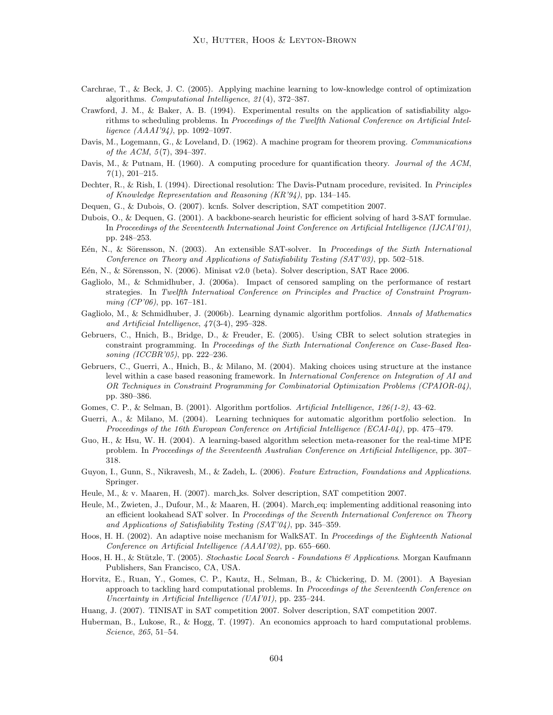- Carchrae, T., & Beck, J. C. (2005). Applying machine learning to low-knowledge control of optimization algorithms. Computational Intelligence, 21 (4), 372–387.
- Crawford, J. M., & Baker, A. B. (1994). Experimental results on the application of satisfiability algorithms to scheduling problems. In Proceedings of the Twelfth National Conference on Artificial Intelligence  $(AAAI'94)$ , pp. 1092–1097.
- Davis, M., Logemann, G., & Loveland, D. (1962). A machine program for theorem proving. Communications of the  $ACM$ ,  $5(7)$ , 394-397.
- Davis, M., & Putnam, H. (1960). A computing procedure for quantification theory. Journal of the ACM,  $7(1), 201 - 215.$
- Dechter, R., & Rish, I. (1994). Directional resolution: The Davis-Putnam procedure, revisited. In Principles of Knowledge Representation and Reasoning (KR'94), pp. 134–145.
- Dequen, G., & Dubois, O. (2007). kcnfs. Solver description, SAT competition 2007.
- Dubois, O., & Dequen, G. (2001). A backbone-search heuristic for efficient solving of hard 3-SAT formulae. In Proceedings of the Seventeenth International Joint Conference on Artificial Intelligence (IJCAI'01), pp. 248–253.
- Eén, N., & Sörensson, N. (2003). An extensible SAT-solver. In Proceedings of the Sixth International Conference on Theory and Applications of Satisfiability Testing (SAT'03), pp. 502–518.
- Eén, N., & Sörensson, N. (2006). Minisat v2.0 (beta). Solver description, SAT Race 2006.
- Gagliolo, M., & Schmidhuber, J. (2006a). Impact of censored sampling on the performance of restart strategies. In Twelfth Internatioal Conference on Principles and Practice of Constraint Programming (CP'06), pp. 167-181.
- Gagliolo, M., & Schmidhuber, J. (2006b). Learning dynamic algorithm portfolios. Annals of Mathematics and Artificial Intelligence, 47 (3-4), 295–328.
- Gebruers, C., Hnich, B., Bridge, D., & Freuder, E. (2005). Using CBR to select solution strategies in constraint programming. In Proceedings of the Sixth International Conference on Case-Based Reasoning (ICCBR'05), pp. 222–236.
- Gebruers, C., Guerri, A., Hnich, B., & Milano, M. (2004). Making choices using structure at the instance level within a case based reasoning framework. In International Conference on Integration of AI and OR Techniques in Constraint Programming for Combinatorial Optimization Problems (CPAIOR-04), pp. 380–386.
- Gomes, C. P., & Selman, B. (2001). Algorithm portfolios. Artificial Intelligence, 126(1-2), 43–62.
- Guerri, A., & Milano, M. (2004). Learning techniques for automatic algorithm portfolio selection. In Proceedings of the 16th European Conference on Artificial Intelligence (ECAI-04), pp. 475–479.
- Guo, H., & Hsu, W. H. (2004). A learning-based algorithm selection meta-reasoner for the real-time MPE problem. In Proceedings of the Seventeenth Australian Conference on Artificial Intelligence, pp. 307– 318.
- Guyon, I., Gunn, S., Nikravesh, M., & Zadeh, L. (2006). Feature Extraction, Foundations and Applications. Springer.
- Heule, M., & v. Maaren, H. (2007). march ks. Solver description, SAT competition 2007.
- Heule, M., Zwieten, J., Dufour, M., & Maaren, H. (2004). March eq: implementing additional reasoning into an efficient lookahead SAT solver. In Proceedings of the Seventh International Conference on Theory and Applications of Satisfiability Testing (SAT'04), pp. 345–359.
- Hoos, H. H. (2002). An adaptive noise mechanism for WalkSAT. In Proceedings of the Eighteenth National Conference on Artificial Intelligence (AAAI'02), pp. 655–660.
- Hoos, H. H., & Stützle, T. (2005). Stochastic Local Search Foundations & Applications. Morgan Kaufmann Publishers, San Francisco, CA, USA.
- Horvitz, E., Ruan, Y., Gomes, C. P., Kautz, H., Selman, B., & Chickering, D. M. (2001). A Bayesian approach to tackling hard computational problems. In Proceedings of the Seventeenth Conference on Uncertainty in Artificial Intelligence (UAI'01), pp. 235–244.
- Huang, J. (2007). TINISAT in SAT competition 2007. Solver description, SAT competition 2007.
- Huberman, B., Lukose, R., & Hogg, T. (1997). An economics approach to hard computational problems. Science, 265, 51–54.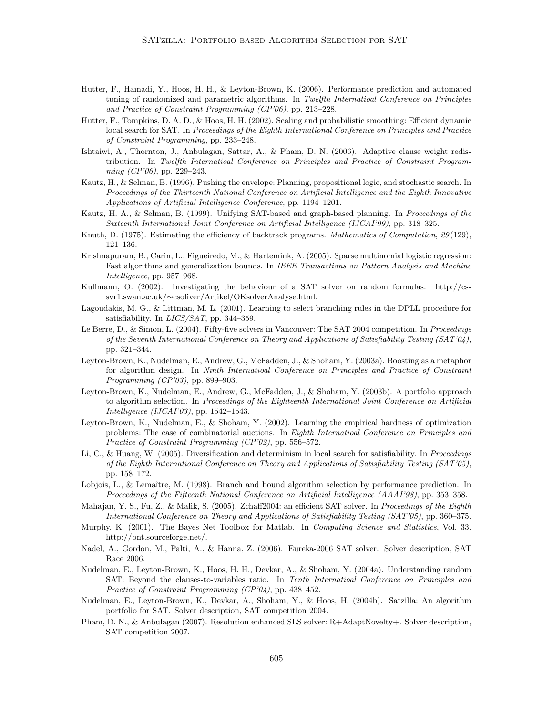- Hutter, F., Hamadi, Y., Hoos, H. H., & Leyton-Brown, K. (2006). Performance prediction and automated tuning of randomized and parametric algorithms. In Twelfth Internatioal Conference on Principles and Practice of Constraint Programming (CP'06), pp. 213–228.
- Hutter, F., Tompkins, D. A. D., & Hoos, H. H. (2002). Scaling and probabilistic smoothing: Efficient dynamic local search for SAT. In Proceedings of the Eighth International Conference on Principles and Practice of Constraint Programming, pp. 233–248.
- Ishtaiwi, A., Thornton, J., Anbulagan, Sattar, A., & Pham, D. N. (2006). Adaptive clause weight redistribution. In Twelfth Internatioal Conference on Principles and Practice of Constraint Program $minq$  (CP'06), pp. 229–243.
- Kautz, H., & Selman, B. (1996). Pushing the envelope: Planning, propositional logic, and stochastic search. In Proceedings of the Thirteenth National Conference on Artificial Intelligence and the Eighth Innovative Applications of Artificial Intelligence Conference, pp. 1194–1201.
- Kautz, H. A., & Selman, B. (1999). Unifying SAT-based and graph-based planning. In Proceedings of the Sixteenth International Joint Conference on Artificial Intelligence (IJCAI'99), pp. 318–325.
- Knuth, D. (1975). Estimating the efficiency of backtrack programs. Mathematics of Computation, 29(129), 121–136.
- Krishnapuram, B., Carin, L., Figueiredo, M., & Hartemink, A. (2005). Sparse multinomial logistic regression: Fast algorithms and generalization bounds. In IEEE Transactions on Pattern Analysis and Machine Intelligence, pp. 957–968.
- Kullmann, O. (2002). Investigating the behaviour of a SAT solver on random formulas. http://cssvr1.swan.ac.uk/∼csoliver/Artikel/OKsolverAnalyse.html.
- Lagoudakis, M. G., & Littman, M. L. (2001). Learning to select branching rules in the DPLL procedure for satisfiability. In *LICS/SAT*, pp. 344-359.
- Le Berre, D., & Simon, L. (2004). Fifty-five solvers in Vancouver: The SAT 2004 competition. In Proceedings of the Seventh International Conference on Theory and Applications of Satisfiability Testing (SAT'04), pp. 321–344.
- Leyton-Brown, K., Nudelman, E., Andrew, G., McFadden, J., & Shoham, Y. (2003a). Boosting as a metaphor for algorithm design. In Ninth Internatioal Conference on Principles and Practice of Constraint Programming (CP'03), pp. 899–903.
- Leyton-Brown, K., Nudelman, E., Andrew, G., McFadden, J., & Shoham, Y. (2003b). A portfolio approach to algorithm selection. In Proceedings of the Eighteenth International Joint Conference on Artificial Intelligence (IJCAI'03), pp. 1542–1543.
- Leyton-Brown, K., Nudelman, E., & Shoham, Y. (2002). Learning the empirical hardness of optimization problems: The case of combinatorial auctions. In Eighth Internatioal Conference on Principles and Practice of Constraint Programming (CP'02), pp. 556–572.
- Li, C., & Huang, W. (2005). Diversification and determinism in local search for satisfiability. In Proceedings of the Eighth International Conference on Theory and Applications of Satisfiability Testing (SAT'05), pp. 158–172.
- Lobjois, L., & Lemaître, M. (1998). Branch and bound algorithm selection by performance prediction. In Proceedings of the Fifteenth National Conference on Artificial Intelligence (AAAI'98), pp. 353–358.
- Mahajan, Y. S., Fu, Z., & Malik, S. (2005). Zchaff2004: an efficient SAT solver. In Proceedings of the Eighth International Conference on Theory and Applications of Satisfiability Testing (SAT'05), pp. 360–375.
- Murphy, K. (2001). The Bayes Net Toolbox for Matlab. In Computing Science and Statistics, Vol. 33. http://bnt.sourceforge.net/.
- Nadel, A., Gordon, M., Palti, A., & Hanna, Z. (2006). Eureka-2006 SAT solver. Solver description, SAT Race 2006.
- Nudelman, E., Leyton-Brown, K., Hoos, H. H., Devkar, A., & Shoham, Y. (2004a). Understanding random SAT: Beyond the clauses-to-variables ratio. In Tenth Internatioal Conference on Principles and Practice of Constraint Programming (CP'04), pp. 438–452.
- Nudelman, E., Leyton-Brown, K., Devkar, A., Shoham, Y., & Hoos, H. (2004b). Satzilla: An algorithm portfolio for SAT. Solver description, SAT competition 2004.
- Pham, D. N., & Anbulagan (2007). Resolution enhanced SLS solver: R+AdaptNovelty+. Solver description, SAT competition 2007.